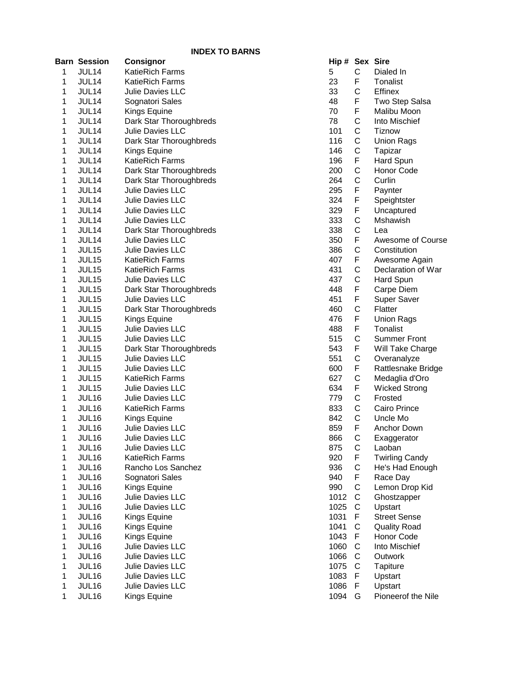|   |                     | <b>INDEX TO BARNS</b>                              |                |              |                       |
|---|---------------------|----------------------------------------------------|----------------|--------------|-----------------------|
|   | <b>Barn Session</b> | Consignor                                          | Hip # Sex Sire |              |                       |
| 1 | JUL14               | <b>KatieRich Farms</b>                             | 5              | C            | Dialed In             |
| 1 | JUL14               | <b>KatieRich Farms</b>                             | 23             | F            | Tonalist              |
| 1 | JUL14               | Julie Davies LLC                                   | 33             | C            | Effinex               |
| 1 | JUL14               | Sognatori Sales                                    | 48             | F            | Two Step Salsa        |
| 1 | JUL14               | Kings Equine                                       | 70             | F            | Malibu Moon           |
| 1 | JUL14               | Dark Star Thoroughbreds                            | 78             | $\mathsf C$  | Into Mischief         |
| 1 | JUL14               | Julie Davies LLC                                   | 101            | C            | <b>Tiznow</b>         |
| 1 | JUL14               | Dark Star Thoroughbreds                            | 116            | C            | <b>Union Rags</b>     |
| 1 | JUL14               | Kings Equine                                       | 146            | C            | Tapizar               |
| 1 | JUL14               | <b>KatieRich Farms</b>                             | 196            | F            | Hard Spun             |
| 1 | JUL14               | Dark Star Thoroughbreds                            | 200            | C            | Honor Code            |
| 1 | JUL14               | Dark Star Thoroughbreds                            | 264            | C            | Curlin                |
| 1 | JUL14               | Julie Davies LLC                                   | 295            | F            | Paynter               |
| 1 | JUL14               | Julie Davies LLC                                   | 324            | F            | Speightster           |
| 1 | JUL14               | Julie Davies LLC                                   | 329            | F            | Uncaptured            |
| 1 | JUL14               | <b>Julie Davies LLC</b>                            | 333            | C            | Mshawish              |
| 1 | JUL14               |                                                    | 338            | C            | Lea                   |
|   |                     | Dark Star Thoroughbreds<br><b>Julie Davies LLC</b> | 350            | F            | Awesome of Course     |
| 1 | JUL14               |                                                    |                | C            |                       |
| 1 | JUL <sub>15</sub>   | Julie Davies LLC                                   | 386            |              | Constitution          |
| 1 | JUL <sub>15</sub>   | <b>KatieRich Farms</b>                             | 407            | F            | Awesome Again         |
| 1 | JUL15               | <b>KatieRich Farms</b>                             | 431            | $\mathsf C$  | Declaration of War    |
| 1 | JUL15               | Julie Davies LLC                                   | 437            | $\mathsf C$  | Hard Spun             |
| 1 | JUL15               | Dark Star Thoroughbreds                            | 448            | F            | Carpe Diem            |
| 1 | JUL15               | Julie Davies LLC                                   | 451            | F            | Super Saver           |
| 1 | JUL15               | Dark Star Thoroughbreds                            | 460            | $\mathsf C$  | Flatter               |
| 1 | JUL15               | Kings Equine                                       | 476            | F            | <b>Union Rags</b>     |
| 1 | JUL15               | Julie Davies LLC                                   | 488            | F            | Tonalist              |
| 1 | JUL15               | Julie Davies LLC                                   | 515            | $\mathsf C$  | <b>Summer Front</b>   |
| 1 | JUL15               | Dark Star Thoroughbreds                            | 543            | F            | Will Take Charge      |
| 1 | JUL15               | <b>Julie Davies LLC</b>                            | 551            | C            | Overanalyze           |
| 1 | JUL15               | Julie Davies LLC                                   | 600            | F            | Rattlesnake Bridge    |
| 1 | JUL15               | <b>KatieRich Farms</b>                             | 627            | C            | Medaglia d'Oro        |
| 1 | JUL15               | Julie Davies LLC                                   | 634            | F            | <b>Wicked Strong</b>  |
| 1 | JUL16               | <b>Julie Davies LLC</b>                            | 779            | C            | Frosted               |
| 1 | JUL16               | <b>KatieRich Farms</b>                             | 833            | C            | Cairo Prince          |
| 1 | JUL <sub>16</sub>   | Kings Equine                                       | 842            | C            | Uncle Mo              |
| 1 | JUL16               | Julie Davies LLC                                   | 859            | F            | Anchor Down           |
| 1 | JUL16               | Julie Davies LLC                                   | 866            | C            | Exaggerator           |
| 1 | JUL16               | Julie Davies LLC                                   | 875            | $\mathsf C$  | Laoban                |
| 1 | JUL16               | <b>KatieRich Farms</b>                             | 920            | F            | <b>Twirling Candy</b> |
| 1 | JUL16               | Rancho Los Sanchez                                 | 936            | $\mathsf C$  | He's Had Enough       |
| 1 | JUL16               | Sognatori Sales                                    | 940            | F            | Race Day              |
| 1 | JUL16               | Kings Equine                                       | 990            | C            | Lemon Drop Kid        |
| 1 | JUL16               | Julie Davies LLC                                   | 1012           | $\mathsf{C}$ | Ghostzapper           |
| 1 | JUL16               | Julie Davies LLC                                   | 1025           | $\mathbf C$  | Upstart               |
| 1 | JUL16               | Kings Equine                                       | 1031           | F            | <b>Street Sense</b>   |
| 1 | JUL16               | Kings Equine                                       | 1041           | C            | <b>Quality Road</b>   |
| 1 | JUL16               | Kings Equine                                       | 1043           | F            | Honor Code            |
| 1 | JUL16               | Julie Davies LLC                                   | 1060           | C            | Into Mischief         |
| 1 | JUL16               | Julie Davies LLC                                   | 1066           | C            | Outwork               |
| 1 | JUL16               | Julie Davies LLC                                   | 1075           | C            | Tapiture              |
| 1 | JUL16               | Julie Davies LLC                                   | 1083           | $\mathsf F$  | Upstart               |
| 1 | JUL16               | Julie Davies LLC                                   | 1086           | F            | Upstart               |
| 1 | JUL16               | Kings Equine                                       | 1094           | G            | Pioneerof the Nile    |

| Hip # | Sex                  | <b>Sire</b>           |
|-------|----------------------|-----------------------|
| 5     | $\mathsf{C}$         | Dialed In             |
| 23    | F                    | <b>Tonalist</b>       |
| 33    |                      | <b>Effinex</b>        |
| 48    | C<br>F               | Two Step Salsa        |
| 70    | $\overline{F}$       | Malibu Moon           |
| 78    |                      | Into Mischief         |
|       |                      |                       |
| 101   | <b>CCCCFCCFFFCCF</b> | <b>Tiznow</b>         |
| 116   |                      | <b>Union Rags</b>     |
| 146   |                      | Tapizar               |
| 196   |                      | <b>Hard Spun</b>      |
| 200   |                      | <b>Honor Code</b>     |
| 264   |                      | Curlin                |
| 295   |                      | Paynter               |
| 324   |                      | Speightster           |
| 329   |                      | Uncaptured            |
| 333   |                      | Mshawish              |
| 338   |                      | Lea                   |
| 350   |                      | Awesome of Course     |
| 386   |                      | Constitution          |
| 407   |                      | Awesome Again         |
| 431   | <b>CFCCFF</b>        | Declaration of War    |
| 437   |                      | <b>Hard Spun</b>      |
| 448   |                      | Carpe Diem            |
| 451   |                      | <b>Super Saver</b>    |
| 460   |                      | Flatter               |
| 476   | CFFCFCF              | <b>Union Rags</b>     |
| 488   |                      | <b>Tonalist</b>       |
| 515   |                      | <b>Summer Front</b>   |
| 543   |                      | Will Take Charge      |
| 551   |                      | Overanalyze           |
| 600   |                      | Rattlesnake Bridge    |
| 627   |                      | Medaglia d'Oro        |
| 634   |                      | <b>Wicked Strong</b>  |
| 779   |                      | Frosted               |
| 833   |                      | Cairo Prince          |
| 842   |                      | Uncle Mo              |
| 859   | CFCCCF               | Anchor Down           |
| 866   |                      | Exaggerator           |
| 875   |                      | Laoban                |
| 920   |                      | <b>Twirling Candy</b> |
| 936   |                      | He's Had Enough       |
| 940   |                      | Race Day              |
| 990   |                      | Lemon Drop Kid        |
| 1012  |                      | Ghostzapper           |
| 1025  |                      | Upstart               |
| 1031  |                      | <b>Street Sense</b>   |
| 1041  |                      | <b>Quality Road</b>   |
| 1043  | CCFCFCCCFCFCCCF      | <b>Honor Code</b>     |
| 1060  |                      | Into Mischief         |
| 1066  |                      | Outwork               |
|       |                      |                       |
| 1075  |                      | Tapiture              |
| 1083  |                      | Upstart               |
| 1086  | F                    | Upstart               |
| 1094  | G                    | Pioneerof the Nile    |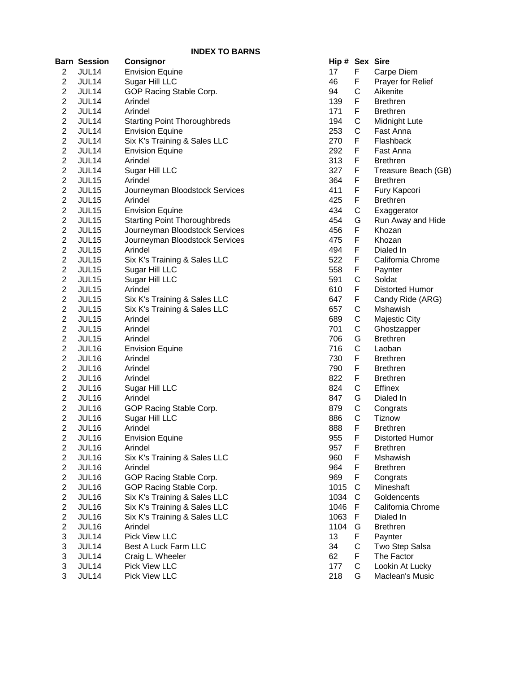|                         | Barn Session      | <b>Consignor</b>                    | Hip # |              | <b>Sex Sire</b>        |
|-------------------------|-------------------|-------------------------------------|-------|--------------|------------------------|
| $\overline{2}$          | JUL14             | <b>Envision Equine</b>              | 17    | F            | Carpe Diem             |
| 2                       | JUL14             | Sugar Hill LLC                      | 46    | F            | Prayer for Relief      |
| $\overline{c}$          | JUL14             | GOP Racing Stable Corp.             | 94    | C            | Aikenite               |
| $\overline{c}$          | JUL14             | Arindel                             | 139   | F            | <b>Brethren</b>        |
| 2                       | JUL14             | Arindel                             | 171   | F            | <b>Brethren</b>        |
| 2                       | JUL14             | <b>Starting Point Thoroughbreds</b> | 194   | C            | Midnight Lute          |
| 2                       | JUL14             | <b>Envision Equine</b>              | 253   | $\mathsf{C}$ | Fast Anna              |
| $\overline{c}$          | JUL14             | Six K's Training & Sales LLC        | 270   | F            | Flashback              |
| $\overline{c}$          | JUL14             | <b>Envision Equine</b>              | 292   | F            | Fast Anna              |
| $\overline{2}$          | JUL14             | Arindel                             | 313   | F            | <b>Brethren</b>        |
| $\overline{c}$          | JUL14             | Sugar Hill LLC                      | 327   | F            | Treasure Beach (GB)    |
| $\overline{2}$          | JUL15             | Arindel                             | 364   | F            | <b>Brethren</b>        |
| $\overline{c}$          | JUL15             | Journeyman Bloodstock Services      | 411   | F            | Fury Kapcori           |
| $\overline{c}$          | JUL15             | Arindel                             | 425   | F            | <b>Brethren</b>        |
| $\overline{\mathbf{c}}$ | JUL15             | <b>Envision Equine</b>              | 434   | $\mathsf C$  | Exaggerator            |
| $\overline{c}$          | JUL15             | <b>Starting Point Thoroughbreds</b> | 454   | G            | Run Away and Hide      |
| $\overline{c}$          | JUL15             | Journeyman Bloodstock Services      | 456   | F            | Khozan                 |
| $\overline{c}$          | JUL15             | Journeyman Bloodstock Services      | 475   | F            | Khozan                 |
| $\overline{c}$          | JUL15             | Arindel                             | 494   | F            | Dialed In              |
| $\overline{c}$          | JUL15             | Six K's Training & Sales LLC        | 522   | F            | California Chrome      |
| $\overline{c}$          | JUL15             | Sugar Hill LLC                      | 558   | F            | Paynter                |
| 2                       | JUL15             | Sugar Hill LLC                      | 591   | C            | Soldat                 |
| 2                       | JUL15             | Arindel                             | 610   | F            | <b>Distorted Humor</b> |
| $\overline{c}$          | JUL <sub>15</sub> | Six K's Training & Sales LLC        | 647   | F            | Candy Ride (ARG)       |
| $\overline{c}$          | JUL <sub>15</sub> | Six K's Training & Sales LLC        | 657   | C            | Mshawish               |
| $\overline{c}$          | JUL15             | Arindel                             | 689   | C            | <b>Majestic City</b>   |
| $\overline{2}$          | JUL15             | Arindel                             | 701   | С            | Ghostzapper            |
| $\overline{2}$          | JUL15             | Arindel                             | 706   | G            | <b>Brethren</b>        |
| $\overline{c}$          | JUL16             | <b>Envision Equine</b>              | 716   | $\mathsf C$  | Laoban                 |
| $\overline{c}$          | JUL16             | Arindel                             | 730   | F            | <b>Brethren</b>        |
| $\overline{c}$          | JUL16             | Arindel                             | 790   | F            | <b>Brethren</b>        |
| $\overline{\mathbf{c}}$ | JUL16             |                                     | 822   | F            | <b>Brethren</b>        |
|                         |                   | Arindel                             |       | $\mathsf C$  |                        |
| $\overline{c}$          | JUL16             | Sugar Hill LLC                      | 824   |              | <b>Effinex</b>         |
| $\overline{c}$          | JUL16             | Arindel                             | 847   | G            | Dialed In              |
| $\overline{c}$          | JUL16             | GOP Racing Stable Corp.             | 879   | C            | Congrats               |
| 2                       | JUL16             | Sugar Hill LLC                      | 886   | C            | Tiznow                 |
| $\overline{2}$          | JUL16             | Arindel                             | 888   | F            | <b>Brethren</b>        |
| 2                       | JUL16             | <b>Envision Equine</b>              | 955   | F            | Distorted Humor        |
| $\overline{2}$          | JUL16             | Arindel                             | 957   | F            | <b>Brethren</b>        |
| 2                       | JUL16             | Six K's Training & Sales LLC        | 960   | F            | Mshawish               |
| 2                       | JUL16             | Arindel                             | 964   | F            | <b>Brethren</b>        |
| 2                       | JUL16             | GOP Racing Stable Corp.             | 969   | F            | Congrats               |
| $\overline{c}$          | JUL16             | GOP Racing Stable Corp.             | 1015  | C            | Mineshaft              |
| $\overline{2}$          | JUL16             | Six K's Training & Sales LLC        | 1034  | C            | Goldencents            |
| $\overline{2}$          | JUL16             | Six K's Training & Sales LLC        | 1046  | F            | California Chrome      |
| $\overline{c}$          | JUL16             | Six K's Training & Sales LLC        | 1063  | F            | Dialed In              |
| $\overline{c}$          | JUL16             | Arindel                             | 1104  | G            | <b>Brethren</b>        |
| 3                       | JUL14             | Pick View LLC                       | 13    | F            | Paynter                |
| 3                       | JUL14             | Best A Luck Farm LLC                | 34    | C            | Two Step Salsa         |
| 3                       | JUL14             | Craig L. Wheeler                    | 62    | F            | The Factor             |
| 3                       | JUL14             | Pick View LLC                       | 177   | $\mathsf C$  | Lookin At Lucky        |
| 3                       | JUL14             | Pick View LLC                       | 218   | G            | Maclean's Music        |

| Hip# | Sex            | Sire                     |
|------|----------------|--------------------------|
| 17   | F              | Carpe Diem               |
| 46   | F              | <b>Prayer for Relief</b> |
| 94   |                | Aikenite                 |
| 139  | C<br>F         | Brethren                 |
| 171  | $\overline{F}$ | Brethren                 |
| 194  |                | Midnight Lute            |
| 253  |                | Fast Anna                |
| 270  | C<br>C<br>F    | Flashback                |
| 292  | F              | Fast Anna                |
| 313  | F              | <b>Brethren</b>          |
| 327  | F              | Treasure Beach (GB)      |
| 364  | F              | <b>Brethren</b>          |
| 411  | F              | Fury Kapcori             |
| 425  | $\mathbf{F}$   | <b>Brethren</b>          |
| 434  | C              | Exaggerator              |
| 454  | G              | Run Away and Hide        |
| 456  | F              | Khozan                   |
| 475  | F              | Khozan                   |
| 494  | F              | Dialed In                |
| 522  | F              | California Chrome        |
| 558  | F              | Paynter                  |
| 591  | $\mathsf{C}$   | Soldat                   |
| 610  | F              | Distorted Humor          |
| 647  |                | Candy Ride (ARG)         |
| 657  | FCCCGCF        | Mshawish                 |
| 689  |                | <b>Majestic City</b>     |
| 701  |                | Ghostzapper              |
| 706  |                | <b>Brethren</b>          |
| 716  |                | Laoban                   |
| 730  |                | <b>Brethren</b>          |
| 790  | .<br>F         | <b>Brethren</b>          |
| 822  |                | <b>Brethren</b>          |
| 824  |                | <b>Effinex</b>           |
| 847  |                | Dialed In                |
| 879  |                | Congrats                 |
| 886  |                | <b>Tiznow</b>            |
| 888  | FCGCCF         | <b>Brethren</b>          |
| 955  | F              | Distorted Humor          |
| 957  | F              | Brethren                 |
| 960  |                | Mshawish                 |
| 964  |                | <b>Brethren</b>          |
| 969  |                | Congrats                 |
| 1015 |                | Mineshaft                |
| 1034 |                | Goldencents              |
| 1046 |                | California Chrome        |
| 1063 |                | Dialed In                |
| 1104 |                | <b>Brethren</b>          |
| 13   |                | Paynter                  |
| 34   |                | Two Step Salsa           |
| 62   |                | The Factor               |
| 177  | FFFCCFFGFCFCG  | Lookin At Lucky          |
| 218  |                | Maclean's Music          |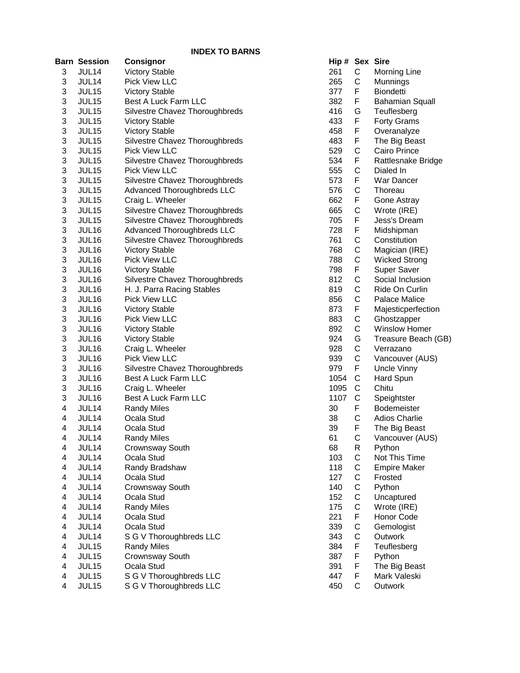|                           |                     | <b>INDEX TO BARNS</b>             |                |              |                        |
|---------------------------|---------------------|-----------------------------------|----------------|--------------|------------------------|
|                           | <b>Barn Session</b> | <b>Consignor</b>                  | Hip # Sex Sire |              |                        |
| 3                         | JUL14               | <b>Victory Stable</b>             | 261            | C            | <b>Morning Line</b>    |
| 3                         | JUL14               | Pick View LLC                     | 265            | C            | Munnings               |
| 3                         | JUL15               | <b>Victory Stable</b>             | 377            | F            | <b>Biondetti</b>       |
| 3                         | JUL15               | Best A Luck Farm LLC              | 382            | F            | <b>Bahamian Squall</b> |
| 3                         | JUL15               | Silvestre Chavez Thoroughbreds    | 416            | G            | Teuflesberg            |
| 3                         | JUL15               | <b>Victory Stable</b>             | 433            | F            | <b>Forty Grams</b>     |
| 3                         | JUL15               | <b>Victory Stable</b>             | 458            | F            | Overanalyze            |
| 3                         | JUL15               | Silvestre Chavez Thoroughbreds    | 483            | F            | The Big Beast          |
| $\ensuremath{\mathsf{3}}$ | JUL15               | <b>Pick View LLC</b>              | 529            | $\mathsf C$  | Cairo Prince           |
| 3                         | JUL15               | Silvestre Chavez Thoroughbreds    | 534            | $\mathsf F$  | Rattlesnake Bridge     |
| $\mathsf 3$               | JUL15               | <b>Pick View LLC</b>              | 555            | $\mathsf{C}$ | Dialed In              |
| 3                         | JUL15               | Silvestre Chavez Thoroughbreds    | 573            | F            | War Dancer             |
| 3                         | JUL15               | <b>Advanced Thoroughbreds LLC</b> | 576            | $\mathsf{C}$ | Thoreau                |
| $\mathsf 3$               | JUL15               | Craig L. Wheeler                  | 662            | F            | Gone Astray            |
| $\ensuremath{\mathsf{3}}$ | JUL15               | Silvestre Chavez Thoroughbreds    | 665            | $\mathsf C$  | Wrote (IRE)            |
| 3                         | JUL15               | Silvestre Chavez Thoroughbreds    | 705            | F            | Jess's Dream           |
| 3                         | JUL16               | Advanced Thoroughbreds LLC        | 728            | F            | Midshipman             |
| 3                         | JUL16               | Silvestre Chavez Thoroughbreds    | 761            | C            | Constitution           |
| 3                         | JUL16               | <b>Victory Stable</b>             | 768            | C            | Magician (IRE)         |
| $\ensuremath{\mathsf{3}}$ | JUL16               | Pick View LLC                     | 788            | C            | <b>Wicked Strong</b>   |
| $\ensuremath{\mathsf{3}}$ | JUL16               | <b>Victory Stable</b>             | 798            | F            | <b>Super Saver</b>     |
| 3                         | JUL16               | Silvestre Chavez Thoroughbreds    | 812            | C            | Social Inclusion       |
| 3                         | JUL16               | H. J. Parra Racing Stables        | 819            | C            | Ride On Curlin         |
| 3                         | JUL16               | Pick View LLC                     | 856            | $\mathsf C$  | Palace Malice          |
| $\ensuremath{\mathsf{3}}$ | JUL16               | <b>Victory Stable</b>             | 873            | F            | Majesticperfection     |
| 3                         | JUL16               | Pick View LLC                     | 883            | $\mathsf C$  | Ghostzapper            |
| $\mathsf 3$               | JUL16               | <b>Victory Stable</b>             | 892            | $\mathsf C$  | Winslow Homer          |
| $\ensuremath{\mathsf{3}}$ | JUL16               | <b>Victory Stable</b>             | 924            | G            | Treasure Beach (GB)    |
| 3                         | JUL16               | Craig L. Wheeler                  | 928            | $\mathsf C$  | Verrazano              |
| 3                         | JUL16               | Pick View LLC                     | 939            | $\mathsf{C}$ | Vancouver (AUS)        |
| $\ensuremath{\mathsf{3}}$ | JUL16               | Silvestre Chavez Thoroughbreds    | 979            | F            | Uncle Vinny            |
| 3                         | JUL16               | Best A Luck Farm LLC              | 1054           | C            | Hard Spun              |
| 3                         | JUL16               | Craig L. Wheeler                  | 1095           | C            | Chitu                  |
| 3                         | <b>JUL16</b>        | Best A Luck Farm LLC              | 1107           | C            | Speightster            |
| 4                         | JUL14               | <b>Randy Miles</b>                | 30             | F            | Bodemeister            |
| $\overline{\mathbf{4}}$   | JUL14               | Ocala Stud                        | 38             | $\mathsf C$  | <b>Adios Charlie</b>   |
| 4                         | JUL <sub>14</sub>   | Ocala Stud                        | 39             | F            | The Big Beast          |
| 4                         | JUL14               | <b>Randy Miles</b>                | 61             | C            | Vancouver (AUS)        |
| 4                         | JUL14               | Crownsway South                   | 68             | R            | Python                 |
| 4                         | JUL14               | Ocala Stud                        | 103            | $\mathbf C$  | Not This Time          |
| 4                         | JUL14               | Randy Bradshaw                    | 118            | $\mathsf C$  | <b>Empire Maker</b>    |
| $\overline{\mathbf{4}}$   | JUL14               | Ocala Stud                        | 127            | C            | Frosted                |
| 4                         | JUL14               | Crownsway South                   | 140            | $\mathsf C$  | Python                 |
| 4                         | JUL14               | Ocala Stud                        | 152            | C            | Uncaptured             |
| 4                         | JUL14               | <b>Randy Miles</b>                | 175            | $\mathsf{C}$ | Wrote (IRE)            |
| 4                         | JUL14               | Ocala Stud                        | 221            | F            | Honor Code             |
| 4                         | JUL14               | Ocala Stud                        | 339            | $\mathsf{C}$ | Gemologist             |
| 4                         | JUL14               | S G V Thoroughbreds LLC           | 343            | C            | Outwork                |
| 4                         | JUL15               | <b>Randy Miles</b>                | 384            | F            | Teuflesberg            |
| 4                         | JUL15               | Crownsway South                   | 387            | F            | Python                 |
| 4                         | JUL15               | Ocala Stud                        | 391            | F            | The Big Beast          |
| 4                         | JUL15               | S G V Thoroughbreds LLC           | 447            | F            | Mark Valeski           |
| 4                         | JUL15               | S G V Thoroughbreds LLC           | 450            | C            | Outwork                |
|                           |                     |                                   |                |              |                        |

| Hip # | Sex               | Sire                   |
|-------|-------------------|------------------------|
| 261   | C                 | Morning Line           |
| 265   | $\mathsf{C}$      | Munnings               |
| 377   | $\sum_{i=1}^{n}$  | <b>Biondetti</b>       |
| 382   | F                 | <b>Bahamian Squall</b> |
| 416   |                   | Teuflesberg            |
| 433   | G<br>F            | <b>Forty Grams</b>     |
| 458   | F                 | Overanalyze            |
| 483   |                   | The Big Beast          |
|       |                   | Cairo Prince           |
| 529   | FCFCFCF           |                        |
| 534   |                   | Rattlesnake Bridge     |
| 555   |                   | Dialed In              |
| 573   |                   | War Dancer             |
| 576   |                   | Thoreau                |
| 662   |                   | Gone Astray            |
| 665   |                   | Wrote (IRE)            |
| 705   |                   | Jess's Dream           |
| 728   |                   | Midshipman             |
| 761   |                   | Constitution           |
| 768   |                   | Magician (IRE)         |
| 788   |                   | <b>Wicked Strong</b>   |
| 798   |                   | <b>Super Saver</b>     |
| 812   |                   | Social Inclusion       |
| 819   |                   | Ride On Curlin         |
| 856   |                   | <b>Palace Malice</b>   |
| 873   |                   | Majesticperfection     |
| 883   |                   | Ghostzapper            |
| 892   |                   | <b>Winslow Homer</b>   |
| 924   | CFFCCCFCCCFCCGCCF | Treasure Beach (GB     |
|       |                   | Verrazano              |
| 928   |                   |                        |
| 939   |                   | Vancouver (AUS)        |
| 979   |                   | <b>Uncle Vinny</b>     |
| 1054  | CCCFCF            | <b>Hard Spun</b>       |
| 1095  |                   | Chitu                  |
| 1107  |                   | Speightster            |
| 30    |                   | <b>Bodemeister</b>     |
| 38    |                   | <b>Adios Charlie</b>   |
| 39    |                   | The Big Beast          |
| 61    | С                 | Vancouver (AUS)        |
| 68    |                   | Python                 |
| 103   |                   | Not This Time          |
| 118   |                   | <b>Empire Maker</b>    |
| 127   |                   | Frosted                |
| 140   |                   | Python                 |
| 152   |                   | Uncaptured             |
| 175   |                   | Wrote (IRE)            |
| 221   | RCCCCCCFCCFFF     | <b>Honor Code</b>      |
| 339   |                   | Gemologist             |
| 343   |                   | Outwork                |
| 384   |                   | Teuflesberg            |
|       |                   | Python                 |
| 387   |                   |                        |
| 391   |                   | The Big Beast          |
| 447   | F<br>C            | Mark Valeski           |
| 45∩   |                   | ∩⊔twork                |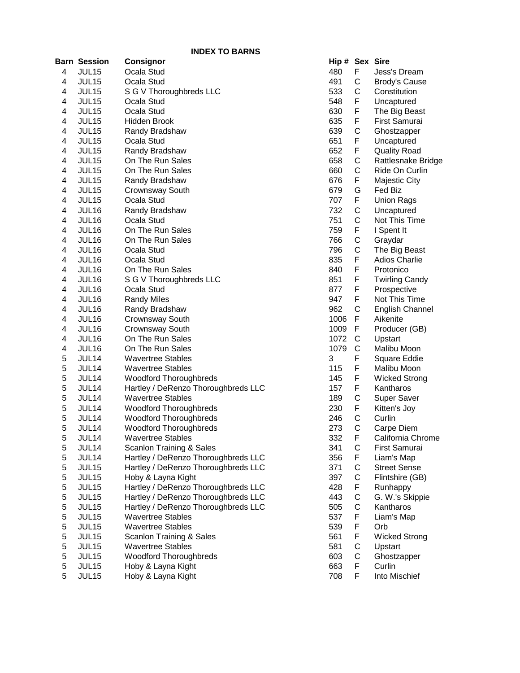|   | Barn Session      | <b>Consignor</b>                    | Hip # Sex Sire |             |                        |
|---|-------------------|-------------------------------------|----------------|-------------|------------------------|
| 4 | JUL15             | Ocala Stud                          | 480            | F           | Jess's Dream           |
| 4 | JUL15             | Ocala Stud                          | 491            | C           | <b>Brody's Cause</b>   |
| 4 | JUL15             | S G V Thoroughbreds LLC             | 533            | C           | Constitution           |
| 4 | JUL <sub>15</sub> | Ocala Stud                          | 548            | F           | Uncaptured             |
| 4 | JUL15             | Ocala Stud                          | 630            | F           | The Big Beast          |
| 4 | JUL <sub>15</sub> | Hidden Brook                        | 635            | F           | First Samurai          |
| 4 | JUL15             | Randy Bradshaw                      | 639            | С           | Ghostzapper            |
| 4 | JUL15             | Ocala Stud                          | 651            | F           | Uncaptured             |
| 4 | JUL15             | Randy Bradshaw                      | 652            | F           | <b>Quality Road</b>    |
| 4 | JUL15             | On The Run Sales                    | 658            | C           | Rattlesnake Bridge     |
| 4 | JUL15             | On The Run Sales                    | 660            | C           | Ride On Curlin         |
| 4 | JUL15             | Randy Bradshaw                      | 676            | F           | <b>Majestic City</b>   |
| 4 | JUL15             | Crownsway South                     | 679            | G           | Fed Biz                |
| 4 | JUL15             | Ocala Stud                          | 707            | F           | <b>Union Rags</b>      |
| 4 | JUL16             | Randy Bradshaw                      | 732            | $\mathbf C$ | Uncaptured             |
| 4 | JUL16             | Ocala Stud                          | 751            | $\mathsf C$ | Not This Time          |
| 4 | JUL16             | On The Run Sales                    | 759            | F           | I Spent It             |
| 4 | JUL16             | On The Run Sales                    | 766            | C           | Graydar                |
| 4 | JUL16             | Ocala Stud                          | 796            | C           | The Big Beast          |
| 4 | JUL <sub>16</sub> | Ocala Stud                          | 835            | F           | <b>Adios Charlie</b>   |
| 4 | JUL16             | On The Run Sales                    | 840            | F           | Protonico              |
| 4 | JUL <sub>16</sub> | S G V Thoroughbreds LLC             | 851            | F           | <b>Twirling Candy</b>  |
| 4 | JUL <sub>16</sub> | Ocala Stud                          | 877            | F           | Prospective            |
| 4 | JUL16             | <b>Randy Miles</b>                  | 947            | F           | Not This Time          |
| 4 | JUL <sub>16</sub> | Randy Bradshaw                      | 962            | C           | <b>English Channel</b> |
| 4 | JUL16             | Crownsway South                     | 1006           | F           | Aikenite               |
| 4 | JUL16             | Crownsway South                     | 1009           | F           | Producer (GB)          |
| 4 | JUL16             | On The Run Sales                    | 1072           | C           | Upstart                |
| 4 | JUL16             | On The Run Sales                    | 1079           | C           | Malibu Moon            |
| 5 | JUL14             | <b>Wavertree Stables</b>            | 3              | F           | Square Eddie           |
| 5 | JUL14             | <b>Wavertree Stables</b>            | 115            | F           | Malibu Moon            |
| 5 | JUL14             | Woodford Thoroughbreds              | 145            | F           | <b>Wicked Strong</b>   |
| 5 | JUL14             | Hartley / DeRenzo Thoroughbreds LLC | 157            | F           | Kantharos              |
| 5 | JUL14             | <b>Wavertree Stables</b>            | 189            | C           | Super Saver            |
| 5 | JUL14             | <b>Woodford Thoroughbreds</b>       | 230            | F           | Kitten's Joy           |
| 5 | JUL14             | <b>Woodford Thoroughbreds</b>       | 246            | C           | Curlin                 |
| 5 | JUL14             | Woodford Thoroughbreds              | 273            | С           | Carpe Diem             |
| 5 | JUL14             | Wavertree Stables                   | 332            | F           | California Chrome      |
| 5 | JUL14             | Scanlon Training & Sales            | 341            | C           | First Samurai          |
| 5 | JUL14             | Hartley / DeRenzo Thoroughbreds LLC | 356            | F           | Liam's Map             |
| 5 | JUL15             | Hartley / DeRenzo Thoroughbreds LLC | 371            | C           | <b>Street Sense</b>    |
| 5 | JUL15             | Hoby & Layna Kight                  | 397            | C           | Flintshire (GB)        |
| 5 | JUL15             | Hartley / DeRenzo Thoroughbreds LLC | 428            | F           | Runhappy               |
| 5 | JUL15             | Hartley / DeRenzo Thoroughbreds LLC | 443            | C           | G. W.'s Skippie        |
| 5 | JUL15             | Hartley / DeRenzo Thoroughbreds LLC | 505            | C           | Kantharos              |
| 5 | JUL15             | <b>Wavertree Stables</b>            | 537            | F           | Liam's Map             |
| 5 | JUL15             | <b>Wavertree Stables</b>            | 539            | F           | Orb                    |
| 5 | JUL15             | Scanlon Training & Sales            | 561            | F           | <b>Wicked Strong</b>   |
| 5 | JUL15             | <b>Wavertree Stables</b>            | 581            | $\mathsf C$ | Upstart                |
| 5 | JUL15             | <b>Woodford Thoroughbreds</b>       | 603            | C           | Ghostzapper            |
| 5 | JUL15             | Hoby & Layna Kight                  | 663            | F           | Curlin                 |
| 5 | JUL15             | Hoby & Layna Kight                  | 708            | F           | Into Mischief          |
|   |                   |                                     |                |             |                        |

| Hip # | Sex              | <b>Sire</b>            |
|-------|------------------|------------------------|
| 180   | F                | Jess's Dream           |
| 191   | C                | <b>Brody's Cause</b>   |
|       |                  |                        |
| 533   | $\mathsf{C}$     | Constitution           |
| 548   | $\sum_{i=1}^{n}$ | Uncaptured             |
| 330   | F                | The Big Beast          |
| 335   |                  | First Samurai          |
| 339   | F<br>C<br>F      | Ghostzapper            |
|       |                  |                        |
| 651   |                  | Uncaptured             |
| 552   | F<br>C<br>C<br>F | <b>Quality Road</b>    |
| 558   |                  | Rattlesnake Bridge     |
| 660   |                  | Ride On Curlin         |
| 676   |                  | <b>Majestic City</b>   |
| 679   |                  | Fed Biz                |
|       | G<br>F           |                        |
| 707   |                  | <b>Union Rags</b>      |
| 732   |                  | Uncaptured             |
| 751   |                  | Not This Time          |
| 759   |                  | I Spent It             |
| 766   | <b>CCFCCF</b>    | Graydar                |
| 796   |                  | The Big Beast          |
|       |                  | <b>Adios Charlie</b>   |
| 335   |                  |                        |
| 340   | F                | Protonico              |
| 351   | F                | <b>Twirling Candy</b>  |
| 377   | F                | Prospective            |
| 947   | F                | Not This Time          |
| 962   | $\mathsf{C}$     | <b>English Channel</b> |
| 1006  | F                | Aikenite               |
|       |                  |                        |
| 1009  | F                | Producer (GB)          |
| 1072  | C<br>C           | Upstart                |
| 1079  |                  | Malibu Moon            |
| 3     | F                | Square Eddie           |
| 115   | F                | Malibu Moon            |
| 145   | F                | <b>Wicked Strong</b>   |
|       |                  | Kantharos              |
| 157   | F<br>C<br>F      |                        |
| 189   |                  | Super Saver            |
| 230   |                  | Kitten's Joy           |
| 246   | C<br>C           | Curlin                 |
| 273   |                  | Carpe Diem             |
| 332   | F                | California Chrome      |
| 341   | C                | First Samurai          |
|       |                  |                        |
| 356   | F                | Liam's Map             |
| 371   |                  | <b>Street Sense</b>    |
| 397   |                  | Flintshire (GB)        |
| 128   |                  | Runhappy               |
| 143   |                  | G. W.'s Skippie        |
| 505   |                  | Kantharos              |
| 537   |                  | Liam's Map             |
|       |                  |                        |
| 539   | F                | Orb                    |
| 561   |                  | <b>Wicked Strong</b>   |
| 581   |                  | Upstart                |
| 603   | F<br>C<br>C      | Ghostzapper            |
| 63    | F                | Curlin                 |
| 708   | F                | Into Mischief          |
|       |                  |                        |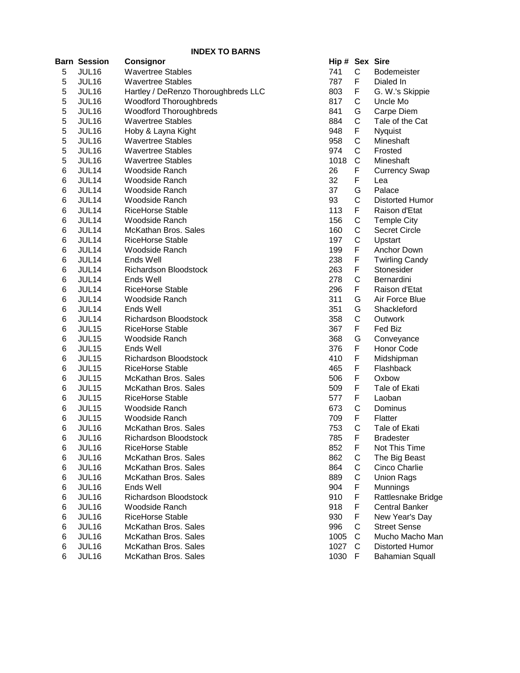|       | <b>Barn Session</b> | Consignor                           | Hip # Sex Sire |             |                        |
|-------|---------------------|-------------------------------------|----------------|-------------|------------------------|
| 5     | JUL16               | <b>Wavertree Stables</b>            | 741            | $\mathsf C$ | <b>Bodemeister</b>     |
| 5     | JUL16               | <b>Wavertree Stables</b>            | 787            | F           | Dialed In              |
| 5     | JUL16               | Hartley / DeRenzo Thoroughbreds LLC | 803            | F           | G. W.'s Skippie        |
| 5     | JUL16               | Woodford Thoroughbreds              | 817            | С           | Uncle Mo               |
| 5     | JUL <sub>16</sub>   | <b>Woodford Thoroughbreds</b>       | 841            | G           | Carpe Diem             |
| 5     | JUL <sub>16</sub>   | <b>Wavertree Stables</b>            | 884            | С           | Tale of the Cat        |
| 5     | JUL16               | Hoby & Layna Kight                  | 948            | F           | <b>Nyquist</b>         |
| 5     | JUL <sub>16</sub>   | <b>Wavertree Stables</b>            | 958            | C           | Mineshaft              |
| 5     | JUL16               | <b>Wavertree Stables</b>            | 974            | C           | Frosted                |
| 5     | JUL16               | <b>Wavertree Stables</b>            | 1018           | C           | Mineshaft              |
| $\,6$ | JUL14               | <b>Woodside Ranch</b>               | 26             | F           | <b>Currency Swap</b>   |
| 6     | JUL14               | <b>Woodside Ranch</b>               | 32             | F           | Lea                    |
| $\,6$ | JUL14               | Woodside Ranch                      | 37             | G           | Palace                 |
| 6     | JUL14               | Woodside Ranch                      | 93             | C           | <b>Distorted Humor</b> |
| 6     | JUL14               | <b>RiceHorse Stable</b>             | 113            | F           | Raison d'Etat          |
| 6     | JUL14               | Woodside Ranch                      | 156            | $\mathsf C$ | <b>Temple City</b>     |
| 6     | JUL14               | McKathan Bros. Sales                | 160            | $\mathsf C$ | <b>Secret Circle</b>   |
| 6     | JUL14               | <b>RiceHorse Stable</b>             | 197            | $\mathsf C$ | Upstart                |
| 6     | JUL14               | Woodside Ranch                      | 199            | F           | Anchor Down            |
| 6     | JUL14               | Ends Well                           | 238            | F           | <b>Twirling Candy</b>  |
| 6     | JUL14               | Richardson Bloodstock               | 263            | F           | Stonesider             |
| 6     | JUL14               | Ends Well                           | 278            | C           | Bernardini             |
| 6     | JUL14               | <b>RiceHorse Stable</b>             | 296            | F           | Raison d'Etat          |
| 6     | JUL14               | Woodside Ranch                      | 311            | G           | Air Force Blue         |
| 6     | JUL14               | Ends Well                           | 351            | G           | Shackleford            |
| 6     | JUL14               | <b>Richardson Bloodstock</b>        | 358            | C           | Outwork                |
| 6     | JUL15               | <b>RiceHorse Stable</b>             | 367            | F           | Fed Biz                |
| 6     | JUL15               | Woodside Ranch                      | 368            | G           | Conveyance             |
| $\,6$ | JUL15               | Ends Well                           | 376            | F           | Honor Code             |
| $\,6$ | JUL15               | <b>Richardson Bloodstock</b>        | 410            | F           | Midshipman             |
| 6     | JUL15               | <b>RiceHorse Stable</b>             | 465            | F           | Flashback              |
| 6     | JUL15               | McKathan Bros. Sales                | 506            | F           | Oxbow                  |
| 6     | JUL15               | McKathan Bros. Sales                | 509            | F           | Tale of Ekati          |
| 6     | JUL15               | <b>RiceHorse Stable</b>             | 577            | F           | Laoban                 |
| 6     | JUL15               | Woodside Ranch                      | 673            | C           | Dominus                |
| 6     | JUL15               | <b>Woodside Ranch</b>               | 709            | F           | Flatter                |
| 6     | JUL16               | McKathan Bros. Sales                | 753            | C           | Tale of Ekati          |
| 6     | JUL 16              | Richardson Bloodstock               | 785            | F.          | Bradester              |
| 6     | JUL16               | RiceHorse Stable                    | 852            | F           | Not This Time          |
| 6     | JUL16               | McKathan Bros. Sales                | 862            | С           | The Big Beast          |
| 6     | JUL16               | McKathan Bros. Sales                | 864            | С           | Cinco Charlie          |
| 6     | JUL16               | McKathan Bros. Sales                | 889            | С           | <b>Union Rags</b>      |
| 6     | JUL16               | Ends Well                           | 904            | F           | Munnings               |
| 6     | JUL16               | Richardson Bloodstock               | 910            | F           | Rattlesnake Bridge     |
| 6     | JUL16               | Woodside Ranch                      | 918            | F           | <b>Central Banker</b>  |
| 6     | JUL16               | <b>RiceHorse Stable</b>             | 930            | F           | New Year's Day         |
| 6     | JUL16               | McKathan Bros. Sales                | 996            | С           | <b>Street Sense</b>    |
| 6     | JUL16               | McKathan Bros. Sales                | 1005           | C           | Mucho Macho Man        |
| 6     | JUL16               | McKathan Bros. Sales                | 1027           | C           | Distorted Humor        |
| 6     | JUL16               | McKathan Bros. Sales                | 1030           | -F          | <b>Bahamian Squall</b> |
|       |                     |                                     |                |             |                        |

| Hip# | Sex                         | <b>Sire</b>            |
|------|-----------------------------|------------------------|
| 741  | С                           | Bodemeister            |
| 787  | F                           | Dialed In              |
| 803  |                             | G. W.'s Skippie        |
| 817  |                             | Uncle Mo               |
| 841  |                             | Carpe Diem             |
|      |                             | Tale of the Cat        |
| 884  |                             |                        |
| 948  |                             | Nyquist                |
| 958  |                             | Mineshaft              |
| 974  |                             | Frosted                |
| 1018 |                             | Mineshaft              |
| 26   |                             | Currency Swap          |
| 32   |                             | Lea                    |
| 37   |                             | Palace                 |
| 93   |                             | Distorted Humor        |
| 113  |                             | Raison d'Etat          |
| 156  |                             | <b>Temple City</b>     |
| 160  |                             | Secret Circle          |
| 197  |                             | Upstart                |
| 199  |                             | Anchor Down            |
| 238  |                             | <b>Twirling Candy</b>  |
| 263  |                             | Stonesider             |
| 278  |                             | Bernardini             |
| 296  |                             | Raison d'Etat          |
| 311  |                             | Air Force Blue         |
| 351  | FCGCFCCCFFGCFCCCFFFCFGGCFGF | Shackleford            |
| 358  |                             | Outwork                |
| 367  |                             | Fed Biz                |
| 368  |                             | Conveyance             |
| 376  |                             | <b>Honor Code</b>      |
| 410  |                             | Midshipman             |
| 465  |                             | Flashback              |
| 506  |                             | Oxbow                  |
| 509  |                             | Tale of Ekati          |
| 577  | FFFFFCF                     | Laoban                 |
| 673  |                             | Dominus                |
| 709  |                             | Flatter                |
| 753  | Ċ                           | Tale of Ekati          |
| 785  | F                           | <b>Bradester</b>       |
| 852  |                             | Not This Time          |
| 862  |                             | The Big Beast          |
| 864  |                             | Cinco Charlie          |
| 889  |                             | <b>Union Rags</b>      |
| 904  |                             | Munnings               |
| 910  |                             | Rattlesnake Bridge     |
| 918  |                             | <b>Central Banker</b>  |
| 930  | FCCCFFFFCCCF                | New Year's Day         |
| 996  |                             | <b>Street Sense</b>    |
| 1005 |                             | Mucho Macho Man        |
| 1027 |                             | Distorted Humor        |
| 1030 |                             | <b>Bahamian Squall</b> |
|      |                             |                        |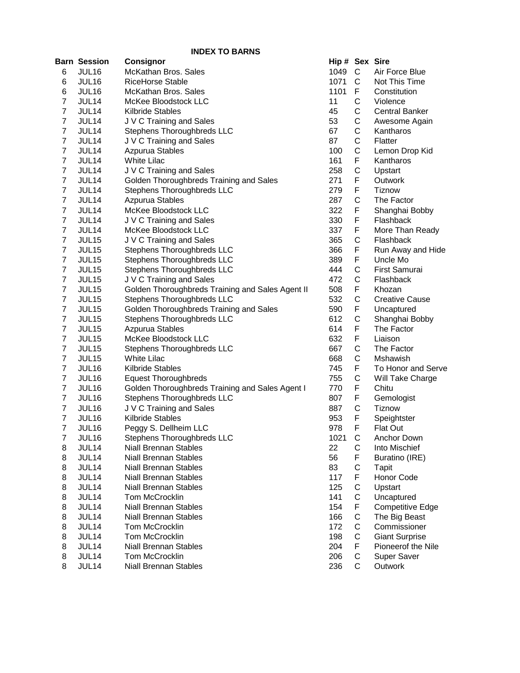|                | Barn Session      | <b>Consignor</b>                                 | Hip # Sex Sire |              |                         |
|----------------|-------------------|--------------------------------------------------|----------------|--------------|-------------------------|
| 6              | JUL16             | McKathan Bros. Sales                             | 1049           | $\mathsf{C}$ | Air Force Blue          |
| 6              | JUL16             | <b>RiceHorse Stable</b>                          | 1071           | C            | Not This Time           |
| 6              | JUL16             | McKathan Bros. Sales                             | 1101           | F.           | Constitution            |
| 7              | JUL14             | McKee Bloodstock LLC                             | 11             | С            | Violence                |
| 7              | JUL14             | Kilbride Stables                                 | 45             | С            | <b>Central Banker</b>   |
| 7              | JUL14             | J V C Training and Sales                         | 53             | С            | Awesome Again           |
| 7              | JUL14             | Stephens Thoroughbreds LLC                       | 67             | С            | Kantharos               |
| $\overline{7}$ | JUL14             | J V C Training and Sales                         | 87             | С            | Flatter                 |
| 7              | JUL14             | Azpurua Stables                                  | 100            | С            | Lemon Drop Kid          |
| $\overline{7}$ | JUL14             | <b>White Lilac</b>                               | 161            | F            | Kantharos               |
| 7              | JUL14             | J V C Training and Sales                         | 258            | С            | Upstart                 |
| $\overline{7}$ | JUL14             | Golden Thoroughbreds Training and Sales          | 271            | F            | Outwork                 |
| 7              | JUL14             | Stephens Thoroughbreds LLC                       | 279            | F            | Tiznow                  |
| 7              | JUL14             | Azpurua Stables                                  | 287            | C            | The Factor              |
| 7              | JUL14             | McKee Bloodstock LLC                             | 322            | F            | Shanghai Bobby          |
| 7              | JUL14             | J V C Training and Sales                         | 330            | F            | Flashback               |
| 7              | JUL14             | McKee Bloodstock LLC                             | 337            | F            | More Than Ready         |
| $\overline{7}$ | JUL15             | J V C Training and Sales                         | 365            | C            | Flashback               |
| $\overline{7}$ | <b>JUL15</b>      | Stephens Thoroughbreds LLC                       | 366            | F            | Run Away and Hide       |
| $\overline{7}$ | JUL15             | Stephens Thoroughbreds LLC                       | 389            | F            | Uncle Mo                |
| $\overline{7}$ | JUL <sub>15</sub> | Stephens Thoroughbreds LLC                       | 444            | C            | <b>First Samurai</b>    |
| $\overline{7}$ | JUL <sub>15</sub> | J V C Training and Sales                         | 472            | C            | Flashback               |
| 7              | JUL <sub>15</sub> | Golden Thoroughbreds Training and Sales Agent II | 508            | F            | Khozan                  |
| $\overline{7}$ | JUL15             | Stephens Thoroughbreds LLC                       | 532            | С            | <b>Creative Cause</b>   |
| 7              | JUL <sub>15</sub> | Golden Thoroughbreds Training and Sales          | 590            | F            | Uncaptured              |
| $\overline{7}$ | JUL <sub>15</sub> | Stephens Thoroughbreds LLC                       | 612            | С            | Shanghai Bobby          |
| $\overline{7}$ | JUL <sub>15</sub> | Azpurua Stables                                  | 614            | F            | The Factor              |
| $\overline{7}$ | JUL15             | McKee Bloodstock LLC                             | 632            | F            | Liaison                 |
| $\overline{7}$ | JUL <sub>15</sub> | Stephens Thoroughbreds LLC                       | 667            | C            | The Factor              |
| $\overline{7}$ | JUL15             | <b>White Lilac</b>                               | 668            | С            | Mshawish                |
| $\overline{7}$ | JUL16             | <b>Kilbride Stables</b>                          | 745            | F            | To Honor and Serve      |
| $\overline{7}$ | JUL16             | <b>Equest Thoroughbreds</b>                      | 755            | C            | Will Take Charge        |
| $\overline{7}$ | JUL16             | Golden Thoroughbreds Training and Sales Agent I  | 770            | F            | Chitu                   |
| $\overline{7}$ | JUL16             | Stephens Thoroughbreds LLC                       | 807            | F            | Gemologist              |
| $\overline{7}$ | JUL <sub>16</sub> | J V C Training and Sales                         | 887            | С            | Tiznow                  |
| $\overline{7}$ | JUL <sub>16</sub> | Kilbride Stables                                 | 953            | F            | Speightster             |
| $\overline{7}$ | JUL16             | Peggy S. Dellheim LLC                            | 978            | F            | <b>Flat Out</b>         |
| 7              | JUL <sub>16</sub> | Stephens Thoroughbreds LLC                       | 1021           | C            | Anchor Down             |
| 8              | JUL14             | Niall Brennan Stables                            | 22             | С            | Into Mischief           |
| 8              | JUL14             | <b>Niall Brennan Stables</b>                     | 56             | F            | Buratino (IRE)          |
| 8              | JUL14             | <b>Niall Brennan Stables</b>                     | 83             | С            | Tapit                   |
| 8              | JUL14             | <b>Niall Brennan Stables</b>                     | 117            | F            | Honor Code              |
| 8              | JUL14             | <b>Niall Brennan Stables</b>                     | 125            | С            | Upstart                 |
| 8              | JUL14             | Tom McCrocklin                                   | 141            | С            | Uncaptured              |
| 8              | JUL14             | <b>Niall Brennan Stables</b>                     | 154            | F            | <b>Competitive Edge</b> |
| 8              | JUL14             | <b>Niall Brennan Stables</b>                     | 166            | С            | The Big Beast           |
| 8              | JUL14             | Tom McCrocklin                                   | 172            | C            | Commissioner            |
| 8              | JUL14             | Tom McCrocklin                                   | 198            | C            | <b>Giant Surprise</b>   |
| 8              | JUL14             | <b>Niall Brennan Stables</b>                     | 204            | F            | Pioneerof the Nile      |
| 8              | JUL14             | Tom McCrocklin                                   | 206            | C            | <b>Super Saver</b>      |
| 8              | JUL14             | Niall Brennan Stables                            | 236            | С            | Outwork                 |
|                |                   |                                                  |                |              |                         |

| lip#                | Sex            | Sire                  |
|---------------------|----------------|-----------------------|
| 049                 | С              | Air Force Blue        |
| 071                 | $\mathsf{C}$   | Not This Time         |
| 101                 | F              | Constitution          |
| 1                   |                | Violence              |
| 15                  | C<br>C         | <b>Central Banker</b> |
| $\mathbf{5}$        |                | Awesome Again         |
| 57                  |                | Kantharos             |
| 37                  |                | Flatter               |
| 00                  | CCCCFCF        | Lemon Drop Kid        |
| 61                  |                | Kantharos             |
| 258                 |                | Upstart               |
| 271                 |                | Outwork               |
| 279                 | F              | <b>Tiznow</b>         |
| 287                 | $\mathsf{C}$   | The Factor            |
| 22                  | F              | Shanghai Bobby        |
| 30                  | F              | Flashback             |
| 37                  |                | More Than Ready       |
| 865                 | F<br>C         | Flashback             |
| 866                 | F              | Run Away and Hide     |
| 89                  |                | Uncle Mo              |
| 44                  | F<br>C         | First Samurai         |
| <b>172</b>          | $\mathsf{C}$   | Flashback             |
| 508                 | F              | Khozan                |
| 32                  |                | <b>Creative Cause</b> |
| 590                 | C<br>F         | Uncaptured            |
| 512                 | C<br>F         | Shanghai Bobby        |
| 514                 |                | The Factor            |
| <b>32</b>           |                | Liaison               |
| 67                  |                | The Factor            |
| 68                  |                | Mshawish              |
| '45                 |                | To Honor and Serve    |
| '55                 |                | Will Take Charge      |
| 70                  | FCCFCF         | Chitu                 |
| 807                 | $\frac{1}{2}$  | Gemologist            |
| 87                  | $\mathsf{C}$   | <b>Tiznow</b>         |
| 153                 | F              | Speightster           |
| )78                 | F              | <b>Flat Out</b>       |
| 021                 |                | Anchor Down           |
| $\overline{2}$      |                | Into Mischief         |
| $\overline{\bf{5}}$ |                | <b>Buratino (IRE)</b> |
| 33                  |                | Tapit                 |
| 17                  |                | Honor Code            |
| 25                  |                | Upstart               |
| 41                  |                | Uncaptured            |
| 54                  |                | Competitive Edge      |
| 66                  |                | The Big Beast         |
| 72                  |                | Commissioner          |
| 98                  | CCFCFCCFCCCFCC | <b>Giant Surprise</b> |
| 04                  |                | Pioneerof the Nile    |
| 206                 |                | Super Saver           |
| 26                  |                | Outwork               |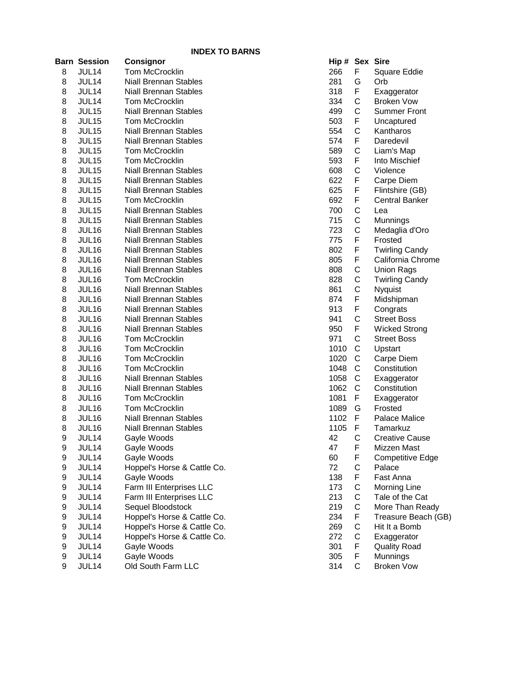|   |                     | <b>INDEX TO BARNS</b>        |                |              |                         |
|---|---------------------|------------------------------|----------------|--------------|-------------------------|
|   | <b>Barn Session</b> | Consignor                    | Hip # Sex Sire |              |                         |
| 8 | JUL14               | Tom McCrocklin               | 266            | F            | Square Eddie            |
| 8 | JUL14               | <b>Niall Brennan Stables</b> | 281            | G            | Orb                     |
| 8 | JUL14               | <b>Niall Brennan Stables</b> | 318            | F            | Exaggerator             |
| 8 | JUL14               | Tom McCrocklin               | 334            | C            | <b>Broken Vow</b>       |
| 8 | JUL15               | <b>Niall Brennan Stables</b> | 499            | C            | <b>Summer Front</b>     |
| 8 | JUL15               | Tom McCrocklin               | 503            | F            | Uncaptured              |
| 8 | <b>JUL15</b>        | <b>Niall Brennan Stables</b> | 554            | C            | Kantharos               |
| 8 | JUL15               | <b>Niall Brennan Stables</b> | 574            | F            | Daredevil               |
| 8 | JUL15               | Tom McCrocklin               | 589            | C            | Liam's Map              |
| 8 | JUL15               | Tom McCrocklin               | 593            | F            | Into Mischief           |
| 8 | JUL15               | <b>Niall Brennan Stables</b> | 608            | C            | Violence                |
| 8 | <b>JUL15</b>        | <b>Niall Brennan Stables</b> | 622            | F            | Carpe Diem              |
| 8 | <b>JUL15</b>        | <b>Niall Brennan Stables</b> | 625            | F            | Flintshire (GB)         |
| 8 | <b>JUL15</b>        | Tom McCrocklin               | 692            | F            | <b>Central Banker</b>   |
| 8 | <b>JUL15</b>        | <b>Niall Brennan Stables</b> | 700            | C            | Lea                     |
| 8 | JUL15               | <b>Niall Brennan Stables</b> | 715            | C            | Munnings                |
| 8 | JUL16               | <b>Niall Brennan Stables</b> | 723            | C            | Medaglia d'Oro          |
| 8 | JUL16               | <b>Niall Brennan Stables</b> | 775            | F            | Frosted                 |
| 8 | JUL16               | <b>Niall Brennan Stables</b> | 802            | F            | <b>Twirling Candy</b>   |
| 8 | JUL16               | <b>Niall Brennan Stables</b> | 805            | F            | California Chrome       |
| 8 | JUL16               | <b>Niall Brennan Stables</b> | 808            | C            | <b>Union Rags</b>       |
| 8 | JUL16               | Tom McCrocklin               | 828            | С            | <b>Twirling Candy</b>   |
| 8 | JUL16               | <b>Niall Brennan Stables</b> | 861            | C            | Nyquist                 |
| 8 | JUL16               | <b>Niall Brennan Stables</b> | 874            | F            | Midshipman              |
| 8 | JUL16               | <b>Niall Brennan Stables</b> | 913            | F            | Congrats                |
| 8 | JUL16               | <b>Niall Brennan Stables</b> | 941            | C            | <b>Street Boss</b>      |
| 8 | JUL16               | <b>Niall Brennan Stables</b> | 950            | F            | <b>Wicked Strong</b>    |
| 8 | JUL16               | Tom McCrocklin               | 971            | $\mathsf{C}$ | <b>Street Boss</b>      |
| 8 | JUL16               | Tom McCrocklin               | 1010           | C            | Upstart                 |
| 8 | JUL16               | Tom McCrocklin               | 1020           | C            | Carpe Diem              |
| 8 | JUL16               | Tom McCrocklin               | 1048           | C            | Constitution            |
| 8 | JUL16               | <b>Niall Brennan Stables</b> | 1058           | C            | Exaggerator             |
| 8 | JUL16               | <b>Niall Brennan Stables</b> | 1062           | C            | Constitution            |
| 8 | JUL16               | Tom McCrocklin               | 1081           | F            | Exaggerator             |
| 8 | <b>JUL16</b>        | Tom McCrocklin               | 1089           | G            | Frosted                 |
| 8 | JUL16               | Niall Brennan Stables        | 1102           | F            | Palace Malice           |
| 8 | JUL16               | <b>Niall Brennan Stables</b> | 1105           | F            | Tamarkuz                |
| 9 | JUL14               | Gayle Woods                  | 42             | C            | <b>Creative Cause</b>   |
| 9 | JUL14               | Gayle Woods                  | 47             | F            | Mizzen Mast             |
| 9 | JUL14               | Gayle Woods                  | 60             | F            | <b>Competitive Edge</b> |
| 9 | JUL14               | Hoppel's Horse & Cattle Co.  | 72             | С            | Palace                  |
| 9 | JUL14               | Gayle Woods                  | 138            | F            | Fast Anna               |
| 9 | JUL14               | Farm III Enterprises LLC     | 173            | С            | <b>Morning Line</b>     |
| 9 | JUL14               | Farm III Enterprises LLC     | 213            | C            | Tale of the Cat         |
| 9 | JUL14               | Sequel Bloodstock            | 219            | C            | More Than Ready         |
| 9 | JUL14               | Hoppel's Horse & Cattle Co.  | 234            | F            | Treasure Beach (GB)     |
| 9 | JUL14               | Hoppel's Horse & Cattle Co.  | 269            | C            | Hit It a Bomb           |
| 9 | JUL14               | Hoppel's Horse & Cattle Co.  | 272            | C            | Exaggerator             |
| 9 | JUL14               | Gayle Woods                  | 301            | F            | <b>Quality Road</b>     |
| 9 | JUL14               | Gayle Woods                  | 305            | F            | Munnings                |
| 9 | JUL14               | Old South Farm LLC           | 314            | C            | <b>Broken Vow</b>       |

| Hip # | Sex              | Sire                  |
|-------|------------------|-----------------------|
| 266   | F                | Square Eddie          |
| 281   | <b>GFCCF</b>     | Orb                   |
| 318   |                  | Exaggerator           |
| 334   |                  | <b>Broken Vow</b>     |
| 499   |                  | <b>Summer Front</b>   |
| 503   |                  | Uncaptured            |
| 554   | C<br>F           | Kantharos             |
| 574   |                  | Daredevil             |
| 589   | C                | Liam's Map            |
| 593   | F                | Into Mischief         |
| 608   | C                | Violence              |
| 622   | F                | Carpe Diem            |
| 625   | F                | Flintshire (GB)       |
| 692   |                  | <b>Central Banker</b> |
| 700   |                  | Lea                   |
| 715   |                  | Munnings              |
| 723   |                  | Medaglia d'Oro        |
| 775   | FCCC<br>FCC<br>F | Frosted               |
| 802   |                  | <b>Twirling Candy</b> |
| 805   |                  | California Chrome     |
| 808   |                  | <b>Union Rags</b>     |
| 828   | FFCCCF           | <b>Twirling Candy</b> |
| 861   |                  | Nyquist               |
| 874   |                  | Midshipman            |
| 913   | F                | Congrats              |
| 941   | $\mathsf{C}$     | <b>Street Boss</b>    |
| 950   | FCCCCCCFGF       | <b>Wicked Strong</b>  |
| 971   |                  | <b>Street Boss</b>    |
| 1010  |                  | Upstart               |
| 1020  |                  | Carpe Diem            |
| 1048  |                  | Constitution          |
| 1058  |                  | Exaggerator           |
| 1062  |                  | Constitution          |
| 1081  |                  | Exaggerator           |
| 1089  |                  | Frosted               |
| 1102  |                  | Palace Malice         |
| 1105  | F                | Tamarkuz              |
| 42    | C                | <b>Creative Cause</b> |
| 47    | F                | Mizzen Mast           |
| 60    |                  | Competitive Edge      |
| 72    |                  | Palace                |
| 138   |                  | Fast Anna             |
| 173   |                  | Morning Line          |
| 213   |                  | Tale of the Cat       |
| 219   | FCFCCCFCCFFC     | More Than Ready       |
| 234   |                  | Treasure Beach (GI    |
| 269   |                  | Hit It a Bomb         |
| 272   |                  | Exaggerator           |
| 301   |                  | <b>Quality Road</b>   |
| 305   |                  | Munnings              |
| 314   |                  | <b>Broken Vow</b>     |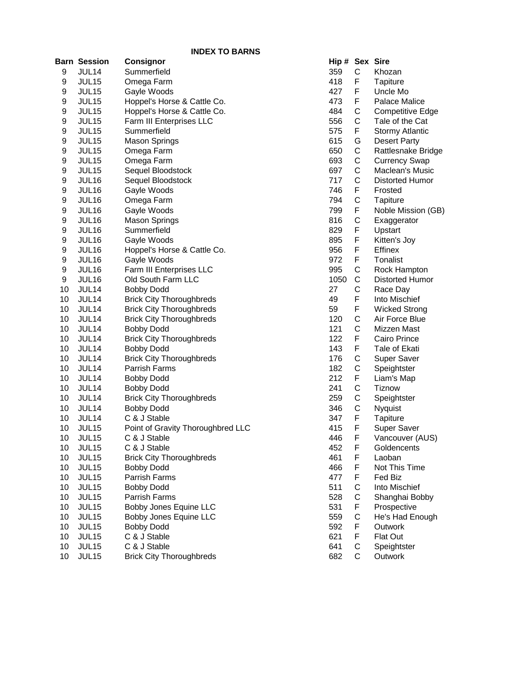|                  | <b>INDEX TO BARNS</b> |                                   |                |   |                         |  |
|------------------|-----------------------|-----------------------------------|----------------|---|-------------------------|--|
|                  | <b>Barn Session</b>   | <b>Consignor</b>                  | Hip # Sex Sire |   |                         |  |
| 9                | JUL14                 | Summerfield                       | 359            | C | Khozan                  |  |
| 9                | JUL15                 | Omega Farm                        | 418            | F | Tapiture                |  |
| 9                | JUL15                 | Gayle Woods                       | 427            | F | Uncle Mo                |  |
| 9                | JUL15                 | Hoppel's Horse & Cattle Co.       | 473            | F | Palace Malice           |  |
| 9                | JUL15                 | Hoppel's Horse & Cattle Co.       | 484            | C | <b>Competitive Edge</b> |  |
| 9                | JUL15                 | Farm III Enterprises LLC          | 556            | C | Tale of the Cat         |  |
| $\boldsymbol{9}$ | JUL15                 | Summerfield                       | 575            | F | <b>Stormy Atlantic</b>  |  |
| $\boldsymbol{9}$ | JUL15                 | <b>Mason Springs</b>              | 615            | G | <b>Desert Party</b>     |  |
| $\boldsymbol{9}$ | JUL15                 | Omega Farm                        | 650            | C | Rattlesnake Bridge      |  |
| $\boldsymbol{9}$ | JUL15                 | Omega Farm                        | 693            | C | <b>Currency Swap</b>    |  |
| $\boldsymbol{9}$ | JUL15                 | Sequel Bloodstock                 | 697            | C | Maclean's Music         |  |
| 9                | JUL16                 | Sequel Bloodstock                 | 717            | C | Distorted Humor         |  |
| 9                | JUL16                 | Gayle Woods                       | 746            | F | Frosted                 |  |
| 9                | JUL16                 | Omega Farm                        | 794            | C | Tapiture                |  |
| $\boldsymbol{9}$ | JUL16                 | Gayle Woods                       | 799            | F | Noble Mission (GB)      |  |
| $\boldsymbol{9}$ | JUL16                 | <b>Mason Springs</b>              | 816            | C | Exaggerator             |  |
| 9                | JUL16                 | Summerfield                       | 829            | F | Upstart                 |  |
| 9                | JUL16                 | Gayle Woods                       | 895            | F | Kitten's Joy            |  |
| 9                | JUL16                 | Hoppel's Horse & Cattle Co.       | 956            | F | Effinex                 |  |
| 9                | JUL16                 | Gayle Woods                       | 972            | F | Tonalist                |  |
| 9                | JUL16                 | Farm III Enterprises LLC          | 995            | C | Rock Hampton            |  |
| 9                | JUL16                 | Old South Farm LLC                | 1050           | C | Distorted Humor         |  |
| 10               | JUL14                 | <b>Bobby Dodd</b>                 | 27             | C | Race Day                |  |
| 10               | JUL14                 | <b>Brick City Thoroughbreds</b>   | 49             | F | Into Mischief           |  |
| 10               | JUL14                 | <b>Brick City Thoroughbreds</b>   | 59             | F | <b>Wicked Strong</b>    |  |
| 10               | JUL14                 | <b>Brick City Thoroughbreds</b>   | 120            | C | Air Force Blue          |  |
| 10               | JUL14                 | <b>Bobby Dodd</b>                 | 121            | C | Mizzen Mast             |  |
| 10               | JUL14                 | <b>Brick City Thoroughbreds</b>   | 122            | F | Cairo Prince            |  |
| 10               | JUL14                 | <b>Bobby Dodd</b>                 | 143            | F | Tale of Ekati           |  |
| 10               | JUL14                 | <b>Brick City Thoroughbreds</b>   | 176            | C | <b>Super Saver</b>      |  |
| 10               | JUL14                 | Parrish Farms                     | 182            | C | Speightster             |  |
| 10               | JUL14                 | <b>Bobby Dodd</b>                 | 212            | F | Liam's Map              |  |
| 10               | JUL14                 | <b>Bobby Dodd</b>                 | 241            | C | Tiznow                  |  |
| 10               | JUL14                 | <b>Brick City Thoroughbreds</b>   | 259            | C | Speightster             |  |
| 10               | JUL14                 | <b>Bobby Dodd</b>                 | 346            | C | Nyquist                 |  |
| 10               | JUL14                 | C & J Stable                      | 347            | F | Tapiture                |  |
| 10               | JUL15                 | Point of Gravity Thoroughbred LLC | 415            | F | Super Saver             |  |
| 10               | JUL15                 | C & J Stable                      | 446            | F | Vancouver (AUS)         |  |
| 10               | JUL15                 | C & J Stable                      | 452            | F | Goldencents             |  |
| 10               | JUL15                 | <b>Brick City Thoroughbreds</b>   | 461            | F | Laoban                  |  |
| 10               | JUL15                 | <b>Bobby Dodd</b>                 | 466            | F | Not This Time           |  |
| 10               | JUL15                 | Parrish Farms                     | 477            | F | Fed Biz                 |  |
| 10               | JUL15                 | <b>Bobby Dodd</b>                 | 511            | C | Into Mischief           |  |
| 10               | JUL15                 | Parrish Farms                     | 528            | C | Shanghai Bobby          |  |
| 10               | JUL15                 | Bobby Jones Equine LLC            | 531            | F | Prospective             |  |
| 10               | JUL15                 | Bobby Jones Equine LLC            | 559            | C | He's Had Enough         |  |
| 10               | JUL15                 | <b>Bobby Dodd</b>                 | 592            | F | Outwork                 |  |
| 10               | JUL15                 | C & J Stable                      | 621            | F | Flat Out                |  |
| 10               | JUL15                 | C & J Stable                      | 641            | C | Speightster             |  |
| 10               | JUL15                 | <b>Brick City Thoroughbreds</b>   | 682            | C | Outwork                 |  |

| Hip # | Sex                 | <b>Sire</b>             |
|-------|---------------------|-------------------------|
| 359   | С                   | Khozan                  |
| 418   | F                   | Tapiture                |
| 427   | F                   | Uncle Mo                |
| 473   |                     | <b>Palace Malice</b>    |
| 484   | FCCFGCCCCFCFCF      | <b>Competitive Edge</b> |
| 556   |                     | Tale of the Cat         |
| 575   |                     | <b>Stormy Atlantic</b>  |
| 615   |                     | <b>Desert Party</b>     |
| 650   |                     | Rattlesnake Bridge      |
| 693   |                     | <b>Currency Swap</b>    |
| 697   |                     | Maclean's Music         |
| 717   |                     | Distorted Humor         |
| 746   |                     | Frosted                 |
|       |                     |                         |
| 794   |                     | Tapiture                |
| 799   |                     | Noble Mission (GB)      |
| 816   |                     | Exaggerator             |
| 829   |                     | Upstart                 |
| 895   | .<br>F              | Kitten's Joy            |
| 956   |                     | Effinex                 |
| 972   |                     | <b>Tonalist</b>         |
| 995   |                     | Rock Hampton            |
| 1050  |                     | Distorted Humor         |
| 27    |                     | Race Day                |
| 49    |                     | Into Mischief           |
| 59    |                     | <b>Wicked Strong</b>    |
| 120   | FFCCCFFCCFFCCFCCCFF | Air Force Blue          |
| 121   |                     | Mizzen Mast             |
| 122   |                     | Cairo Prince            |
| 143   |                     | Tale of Ekati           |
| 176   |                     | Super Saver             |
| 182   |                     | Speightster             |
| 212   |                     | Liam's Map              |
| 241   |                     | Tiznow                  |
| 259   |                     | Speightster             |
| 346   |                     | Nyquist                 |
| 347   |                     | Tapiture                |
| 415   |                     |                         |
|       | F                   | Super Saver             |
| 446   |                     | Vancouver (AUS)         |
| 452   | F                   | Goldencents             |
| 461   | F                   | Laoban                  |
| 466   |                     | Not This Time           |
| 477   |                     | Fed Biz                 |
| 511   |                     | Into Mischief           |
| 528   |                     | Shanghai Bobby          |
| 531   |                     | Prospective             |
| 559   |                     | He's Had Enough         |
| 592   |                     | Outwork                 |
| 621   |                     | Flat Out                |
| 641   | FFCCFCFFCC          | Speightster             |
| 682   |                     | Outwork                 |
|       |                     |                         |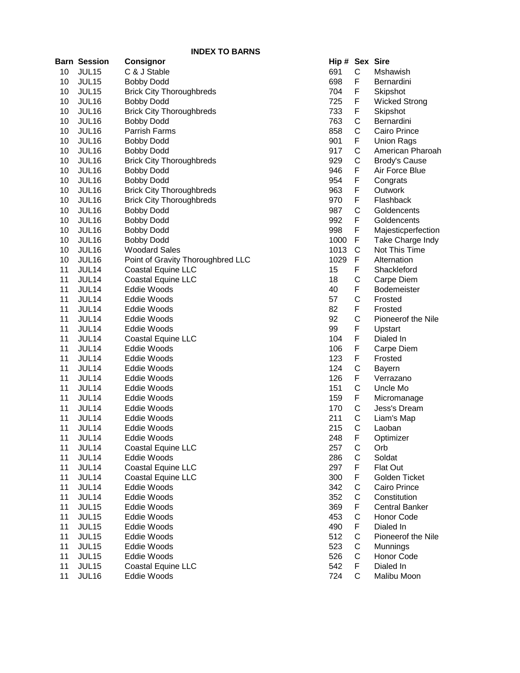|          | Barn Session      | Consignor                         | Hip # Sex Sire |              |                       |
|----------|-------------------|-----------------------------------|----------------|--------------|-----------------------|
| 10       | JUL15             | C & J Stable                      | 691            | $\mathsf C$  | Mshawish              |
| 10       | JUL15             | <b>Bobby Dodd</b>                 | 698            | F            | Bernardini            |
| 10       | JUL15             | <b>Brick City Thoroughbreds</b>   | 704            | F            | Skipshot              |
| 10       | JUL16             | <b>Bobby Dodd</b>                 | 725            | F            | <b>Wicked Strong</b>  |
| 10       | JUL16             | <b>Brick City Thoroughbreds</b>   | 733            | F            | Skipshot              |
| 10       | JUL16             | <b>Bobby Dodd</b>                 | 763            | C            | Bernardini            |
| 10       | JUL16             | <b>Parrish Farms</b>              | 858            | C            | Cairo Prince          |
| 10       | JUL16             | <b>Bobby Dodd</b>                 | 901            | F            | <b>Union Rags</b>     |
| 10       | JUL16             | <b>Bobby Dodd</b>                 | 917            | C            | American Pharoah      |
| 10       | JUL16             | <b>Brick City Thoroughbreds</b>   | 929            | C            | <b>Brody's Cause</b>  |
| 10       | JUL16             | <b>Bobby Dodd</b>                 | 946            | F            | Air Force Blue        |
| 10       | JUL16             | <b>Bobby Dodd</b>                 | 954            | F            | Congrats              |
| 10       | JUL16             | <b>Brick City Thoroughbreds</b>   | 963            | F            | Outwork               |
| 10       | JUL16             | <b>Brick City Thoroughbreds</b>   | 970            | F            | Flashback             |
| 10       | JUL16             | <b>Bobby Dodd</b>                 | 987            | C            | Goldencents           |
| 10       | JUL16             | <b>Bobby Dodd</b>                 | 992            | F            | Goldencents           |
| 10       | <b>JUL16</b>      | <b>Bobby Dodd</b>                 | 998            | F            | Majesticperfection    |
| 10       | JUL16             | <b>Bobby Dodd</b>                 | 1000           | F            | Take Charge Indy      |
| 10       | JUL16             | <b>Woodard Sales</b>              | 1013           | C            | Not This Time         |
| 10       | JUL <sub>16</sub> | Point of Gravity Thoroughbred LLC | 1029           | F            | Alternation           |
| 11       | JUL14             | Coastal Equine LLC                | 15             | F            | Shackleford           |
| 11       | JUL14             | <b>Coastal Equine LLC</b>         | 18             | C            | Carpe Diem            |
| 11       | JUL14             | Eddie Woods                       | 40             | F            | Bodemeister           |
| 11       | JUL14             | Eddie Woods                       | 57             | C            | Frosted               |
| 11       | JUL14             | Eddie Woods                       | 82             | F            | Frosted               |
| 11       | JUL14             | Eddie Woods                       | 92             | C            | Pioneerof the Nile    |
| 11       | JUL14             | Eddie Woods                       | 99             | F            | Upstart               |
| 11       | JUL14             | Coastal Equine LLC                | 104            | F            | Dialed In             |
| 11       | JUL14             | Eddie Woods                       | 106            | F            | Carpe Diem            |
| 11       | JUL14             | Eddie Woods                       | 123            | F            | Frosted               |
| 11       | JUL14             | Eddie Woods                       | 124            | C            | <b>Bayern</b>         |
| 11       | JUL14             | Eddie Woods                       | 126            | F            | Verrazano             |
| 11       | JUL14             | Eddie Woods                       | 151            | $\mathsf C$  | Uncle Mo              |
| 11       | JUL14             | Eddie Woods                       | 159            | F            | Micromanage           |
| 11       | JUL14             | Eddie Woods                       | 170            | C            | Jess's Dream          |
| 11       | JUL14             | Eddie Woods                       | 211            | C            | Liam's Map            |
| 11       | JUL14             | Eddie Woods                       | 215            | $\mathsf{C}$ | Laoban                |
| 11       | JUL 14            | Eddie Woods                       | 248            | F            |                       |
| 11       | JUL14             | <b>Coastal Equine LLC</b>         | 257            | C            | Optimizer<br>Orb      |
| 11       | JUL14             | Eddie Woods                       | 286            | C            | Soldat                |
|          | JUL14             | Coastal Equine LLC                | 297            | F            | Flat Out              |
| 11<br>11 |                   | Coastal Equine LLC                | 300            | F            | Golden Ticket         |
|          | JUL14             |                                   | 342            | C            |                       |
| 11       | JUL14             | Eddie Woods                       |                |              | Cairo Prince          |
| 11       | JUL14             | Eddie Woods                       | 352            | C            | Constitution          |
| 11       | JUL15             | Eddie Woods                       | 369            | F            | <b>Central Banker</b> |
| 11       | JUL15             | Eddie Woods                       | 453            | C            | Honor Code            |
| 11       | JUL15             | Eddie Woods                       | 490            | F            | Dialed In             |
| 11       | JUL15             | Eddie Woods                       | 512            | C            | Pioneerof the Nile    |
| 11       | JUL15             | Eddie Woods                       | 523            | $\mathbf C$  | Munnings              |
| 11       | JUL15             | Eddie Woods                       | 526            | C            | Honor Code            |
| 11       | JUL15             | <b>Coastal Equine LLC</b>         | 542            | F            | Dialed In             |
| 11       | JUL16             | Eddie Woods                       | 724            | C            | Malibu Moon           |

| Hip# | Sex              | Sire                  |
|------|------------------|-----------------------|
| 691  | С                | Mshawish              |
| 698  | F                | Bernardini            |
| 704  | F                | Skipshot              |
| 725  | F                | <b>Wicked Strong</b>  |
| 733  | $\overline{F}$   | Skipshot              |
| 763  | C                | Bernardini            |
| 858  | $\mathsf{C}$     | Cairo Prince          |
| 901  | F                | <b>Union Rags</b>     |
| 917  |                  | American Pharoah      |
| 929  | C<br>C           | <b>Brody's Cause</b>  |
| 946  | F                | Air Force Blue        |
| 954  | F                | Congrats              |
| 963  | F                | Outwork               |
| 970  | F                | Flashback             |
| 987  |                  | Goldencents           |
| 992  | C<br>F           | Goldencents           |
| 998  | F                | Majesticperfection    |
| 1000 | F                | Take Charge Indy      |
| 1013 |                  | Not This Time         |
| 1029 | C<br>F           | Alternation           |
| 15   | $\frac{1}{2}$    | Shackleford           |
| 18   |                  | Carpe Diem            |
| 40   | C<br>F           | Bodemeister           |
| 57   |                  | Frosted               |
| 82   | C<br>F           | Frosted               |
| 92   | $\mathsf{C}$     | Pioneerof the Nile    |
| 99   | $\sum_{i=1}^{n}$ | Upstart               |
| 104  | F                | Dialed In             |
| 106  | F                | Carpe Diem            |
| 123  | F                | Frosted               |
| 124  |                  | Bayern                |
| 126  |                  | Verrazano             |
| 151  | CFCFCCC          | Uncle Mo              |
| 159  |                  | Micromanage           |
| 170  |                  | Jess's Dream          |
| 211  |                  | Liam's Map            |
| 215  |                  | Laoban                |
| 248  | F                | Optimizer             |
| 257  |                  | Orb                   |
| 286  |                  | Soldat                |
| 297  |                  | Flat Out              |
| 300  |                  | <b>Golden Ticket</b>  |
| 342  |                  | Cairo Prince          |
| 352  |                  | Constitution          |
| 369  |                  | <b>Central Banker</b> |
| 453  |                  | <b>Honor Code</b>     |
| 490  |                  | Dialed In             |
| 512  |                  | Pioneerof the Nile    |
| 523  |                  | Munnings              |
| 526  | CCFFCCFCFCCCF    | <b>Honor Code</b>     |
| 542  |                  | Dialed In             |
| 724  | $\overline{C}$   | Malibu Moon           |
|      |                  |                       |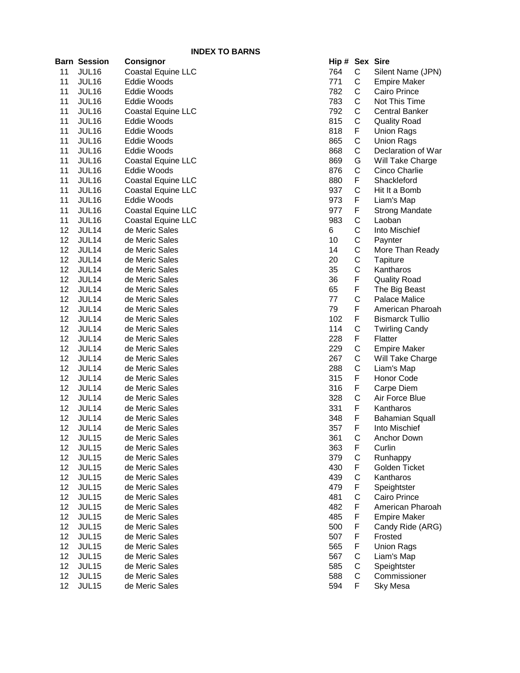|    |                     | <b>INDEX TO BARNS</b>     |                |           |                             |
|----|---------------------|---------------------------|----------------|-----------|-----------------------------|
|    | <b>Barn Session</b> | <b>Consignor</b>          | Hip # Sex Sire |           |                             |
| 11 | JUL16               | <b>Coastal Equine LLC</b> | 764            | C         | Silent Name (JPN)           |
| 11 | JUL16               | Eddie Woods               | 771            | ${\bf C}$ | <b>Empire Maker</b>         |
| 11 | JUL16               | Eddie Woods               | 782            | С         | Cairo Prince                |
| 11 | JUL16               | Eddie Woods               | 783            | C         | Not This Time               |
| 11 | JUL16               | Coastal Equine LLC        | 792            | С         | <b>Central Banker</b>       |
| 11 | JUL16               | Eddie Woods               | 815            | С         | <b>Quality Road</b>         |
| 11 | JUL16               | Eddie Woods               | 818            | F         | <b>Union Rags</b>           |
| 11 | JUL16               | Eddie Woods               | 865            | С         | <b>Union Rags</b>           |
| 11 | JUL16               | Eddie Woods               | 868            | С         | Declaration of War          |
| 11 | <b>JUL16</b>        | <b>Coastal Equine LLC</b> | 869            | G         | Will Take Charge            |
| 11 | JUL16               | Eddie Woods               | 876            | С         | Cinco Charlie               |
| 11 | JUL16               | Coastal Equine LLC        | 880            | F         | Shackleford                 |
| 11 | JUL16               | Coastal Equine LLC        | 937            | С         | Hit It a Bomb               |
| 11 | JUL16               | Eddie Woods               | 973            | F         | Liam's Map                  |
| 11 | JUL16               | Coastal Equine LLC        | 977            | F         | <b>Strong Mandate</b>       |
| 11 | JUL16               | Coastal Equine LLC        | 983            | С         | Laoban                      |
| 12 | JUL14               | de Meric Sales            | 6              | С         | Into Mischief               |
| 12 | JUL14               | de Meric Sales            | 10             | С         | Paynter                     |
| 12 | JUL14               | de Meric Sales            | 14             | С         | More Than Ready             |
| 12 | JUL14               | de Meric Sales            | 20             | С         | Tapiture                    |
| 12 | JUL14               | de Meric Sales            | 35             | C         | Kantharos                   |
| 12 | JUL14               | de Meric Sales            | 36             | F         | <b>Quality Road</b>         |
| 12 | JUL14               | de Meric Sales            | 65             | F         | The Big Beast               |
| 12 | JUL14               | de Meric Sales            | 77             | С         | Palace Malice               |
| 12 | JUL14               | de Meric Sales            | 79             | F         | American Pharoah            |
| 12 | JUL14               | de Meric Sales            | 102            | F         | <b>Bismarck Tullio</b>      |
| 12 | JUL14               | de Meric Sales            | 114            | С         | <b>Twirling Candy</b>       |
| 12 | JUL14               | de Meric Sales            | 228            | F         | Flatter                     |
| 12 | JUL14               | de Meric Sales            | 229            | С         | Empire Maker                |
| 12 | JUL14               | de Meric Sales            | 267            | С         | Will Take Charge            |
| 12 | JUL14               | de Meric Sales            | 288            | С         | Liam's Map                  |
| 12 | JUL14               | de Meric Sales            | 315            | F         | Honor Code                  |
| 12 | JUL14               | de Meric Sales            | 316            | F         | Carpe Diem                  |
| 12 | JUL14               | de Meric Sales            | 328            | С         | Air Force Blue              |
| 12 | JUL14               | de Meric Sales            | 331            | F         | Kantharos                   |
| 12 | JUL14               | de Meric Sales            | 348            | F         | <b>Bahamian Squall</b>      |
| 12 | JUL14               | de Meric Sales            | 357            | F         | Into Mischief               |
| 12 | JUL15               | de Meric Sales            | 361            | C         | Anchor Down                 |
| 12 | JUL15               | de Meric Sales            | 363            | F         | Curlin                      |
| 12 | JUL15               | de Meric Sales            | 379            | C         | Runhappy                    |
| 12 | JUL15               | de Meric Sales            | 430            | F         | Golden Ticket               |
| 12 | JUL15               | de Meric Sales            | 439            | C         | Kantharos                   |
| 12 | JUL15               | de Meric Sales            | 479            | F         | Speightster                 |
| 12 | JUL15               | de Meric Sales            | 481            | C         | Cairo Prince                |
| 12 | JUL15               | de Meric Sales            | 482            | F         | American Pharoah            |
| 12 | JUL15               | de Meric Sales            | 485            | F         | <b>Empire Maker</b>         |
| 12 | JUL15               | de Meric Sales            | 500            | F         | Candy Ride (ARG)            |
| 12 | JUL15               | de Meric Sales            | 507            | F         | Frosted                     |
| 12 | JUL15               | de Meric Sales            | 565            | F         | <b>Union Rags</b>           |
| 12 | JUL15               | de Meric Sales            | 567            | C         | Liam's Map                  |
| 12 | JUL15               | de Meric Sales            | 585            | С         |                             |
| 12 |                     |                           | 588            |           | Speightster<br>Commissioner |
|    | JUL15               | de Meric Sales            |                | C         |                             |
| 12 | <b>JUL15</b>        | de Meric Sales            | 594            | F         | Sky Mesa                    |

| Hip # |                               | Sex Sire               |
|-------|-------------------------------|------------------------|
| 764   |                               | Silent Name (JPN)      |
| 771   |                               | <b>Empire Maker</b>    |
| 782   |                               | Cairo Prince           |
| 783   |                               | Not This Time          |
| 792   |                               | <b>Central Banker</b>  |
| 815   |                               | <b>Quality Road</b>    |
| 818   |                               | <b>Union Rags</b>      |
| 865   |                               | <b>Union Rags</b>      |
| 868   |                               | Declaration of War     |
| 869   |                               | Will Take Charge       |
| 876   |                               | Cinco Charlie          |
| 880   |                               | Shackleford            |
| 937   |                               | Hit It a Bomb          |
| 973   |                               | Liam's Map             |
| 977   |                               | <b>Strong Mandate</b>  |
| 983   |                               | Laoban                 |
| 6     |                               | Into Mischief          |
| 10    |                               | Paynter                |
| 14    |                               | More Than Ready        |
| 20    |                               | Tapiture               |
| 35    |                               | Kantharos              |
| 36    |                               | <b>Quality Road</b>    |
| 65    |                               | The Big Beast          |
| 77    |                               | <b>Palace Malice</b>   |
| 79    | CCCCCCFCCGCFCFFCCCCCCFFCF     | American Pharoah       |
| 102   |                               | <b>Bismarck Tullio</b> |
| 114   | FCFCCCFFCF                    | <b>Twirling Candy</b>  |
| 228   |                               | Flatter                |
| 229   |                               | <b>Empire Maker</b>    |
| 267   |                               | Will Take Charge       |
| 288   |                               | Liam's Map             |
| 315   |                               | <b>Honor Code</b>      |
| 316   |                               | Carpe Diem             |
| 328   |                               | Air Force Blue         |
| 331   |                               | Kantharos              |
| 348   | F                             | <b>Bahamian Squall</b> |
| 357   | F                             | Into Mischief          |
| 361   |                               | <b>Anchor Down</b>     |
| 363   |                               | Curlin                 |
| 379   |                               | Runhappy               |
| 430   |                               | Golden Ticket          |
| 439   |                               | Kantharos              |
| 479   |                               | Speightster            |
| 481   |                               | Cairo Prince           |
| 482   |                               | American Pharoah       |
| 485   |                               | <b>Empire Maker</b>    |
| 500   |                               | Candy Ride (ARG)       |
| 507   |                               | Frosted                |
| 565   | C F C F C F C F F F F F C C C | <b>Union Rags</b>      |
| 567   |                               | Liam's Map             |
| 585   |                               | Speightster            |
| 588   |                               | Commissioner           |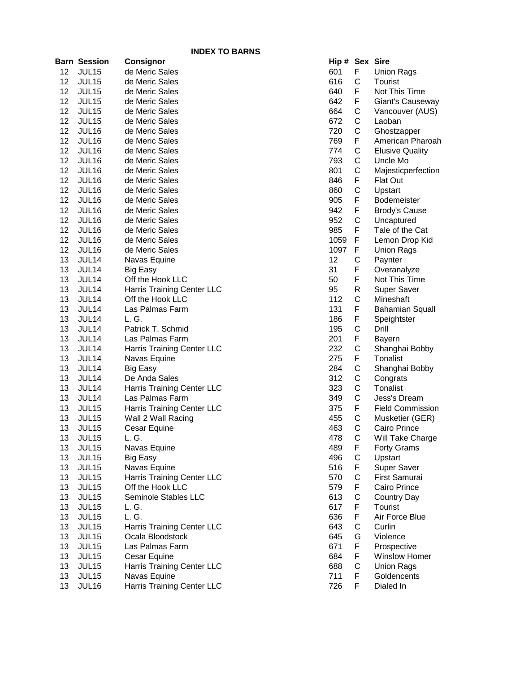|    | Barn Session      | Consignor                  |      | Hip # Sex Sire |                         |
|----|-------------------|----------------------------|------|----------------|-------------------------|
| 12 | JUL15             | de Meric Sales             | 601  | F              | <b>Union Rags</b>       |
| 12 | JUL15             | de Meric Sales             | 616  | C              | Tourist                 |
| 12 | JUL15             | de Meric Sales             | 640  | F              | Not This Time           |
| 12 | JUL <sub>15</sub> | de Meric Sales             | 642  | F.             | Giant's Causeway        |
| 12 | JUL15             | de Meric Sales             | 664  | С              | Vancouver (AUS)         |
| 12 | JUL15             | de Meric Sales             | 672  | C              | Laoban                  |
| 12 | JUL16             | de Meric Sales             | 720  | С              | Ghostzapper             |
| 12 | JUL16             | de Meric Sales             | 769  | F              | American Pharoah        |
| 12 | JUL16             | de Meric Sales             | 774  | С              | <b>Elusive Quality</b>  |
| 12 | JUL16             | de Meric Sales             | 793  | C              | Uncle Mo                |
| 12 | JUL16             | de Meric Sales             | 801  | C              | Majesticperfection      |
| 12 | JUL16             | de Meric Sales             | 846  | F              | Flat Out                |
| 12 | JUL16             | de Meric Sales             | 860  | C              | Upstart                 |
| 12 | JUL16             | de Meric Sales             | 905  | F              | <b>Bodemeister</b>      |
| 12 | JUL16             | de Meric Sales             | 942  | F              | Brody's Cause           |
| 12 | JUL16             | de Meric Sales             | 952  | $\mathsf{C}$   | Uncaptured              |
| 12 | JUL16             | de Meric Sales             | 985  | F              | Tale of the Cat         |
| 12 | JUL16             | de Meric Sales             | 1059 | F              | Lemon Drop Kid          |
| 12 | JUL16             | de Meric Sales             | 1097 | F              | <b>Union Rags</b>       |
| 13 | JUL14             | Navas Equine               | 12   | C              | Paynter                 |
| 13 | JUL14             | <b>Big Easy</b>            | 31   | F              | Overanalyze             |
| 13 | JUL14             | Off the Hook LLC           | 50   | F              | Not This Time           |
| 13 | JUL14             | Harris Training Center LLC | 95   | R              | <b>Super Saver</b>      |
| 13 | JUL14             | Off the Hook LLC           | 112  | C              | Mineshaft               |
| 13 | JUL14             | Las Palmas Farm            | 131  | F              | <b>Bahamian Squall</b>  |
| 13 | JUL14             | L. G.                      | 186  | F              | Speightster             |
| 13 | JUL14             | Patrick T. Schmid          | 195  | C              | Drill                   |
| 13 | JUL14             | Las Palmas Farm            | 201  | F              | <b>Bayern</b>           |
| 13 | JUL14             | Harris Training Center LLC | 232  | С              | Shanghai Bobby          |
| 13 | JUL14             | Navas Equine               | 275  | F              | Tonalist                |
| 13 | JUL14             | <b>Big Easy</b>            | 284  | C              | Shanghai Bobby          |
| 13 | JUL14             | De Anda Sales              | 312  | C              | Congrats                |
| 13 | JUL14             | Harris Training Center LLC | 323  | C              | Tonalist                |
| 13 | JUL14             | Las Palmas Farm            | 349  | C              | Jess's Dream            |
| 13 | JUL <sub>15</sub> | Harris Training Center LLC | 375  | F.             | <b>Field Commission</b> |
| 13 | JUL <sub>15</sub> | Wall 2 Wall Racing         | 455  | C              | Musketier (GER)         |
| 13 | JUL <sub>15</sub> | Cesar Equine               | 463  | C              | Cairo Prince            |
| 13 | JUL 15            | L. G.                      | 478  | C              | Will Take Charge        |
| 13 | JUL15             | Navas Equine               | 489  | F              | <b>Forty Grams</b>      |
| 13 | JUL15             | <b>Big Easy</b>            | 496  | C              | Upstart                 |
| 13 | JUL15             | Navas Equine               | 516  | F              | Super Saver             |
| 13 | JUL15             | Harris Training Center LLC | 570  | C              | First Samurai           |
| 13 | JUL15             | Off the Hook LLC           | 579  | F              | Cairo Prince            |
| 13 | JUL15             | Seminole Stables LLC       | 613  | C              | <b>Country Day</b>      |
| 13 | JUL15             | L. G.                      | 617  | F              | Tourist                 |
| 13 | JUL15             | L. G.                      | 636  | F              | Air Force Blue          |
| 13 | JUL15             | Harris Training Center LLC | 643  | C              | Curlin                  |
| 13 | JUL15             | Ocala Bloodstock           | 645  | G              | Violence                |
| 13 | JUL15             | Las Palmas Farm            | 671  | F              | Prospective             |
| 13 | JUL15             | Cesar Equine               | 684  | F              | <b>Winslow Homer</b>    |
| 13 | JUL15             | Harris Training Center LLC | 688  | C              | <b>Union Rags</b>       |
| 13 | JUL15             | Navas Equine               | 711  | F              | Goldencents             |
| 13 | JUL16             | Harris Training Center LLC | 726  | F.             | Dialed In               |

| Hip #      | Sex          | Sire                            |
|------------|--------------|---------------------------------|
| 601        | F            | Union Rags                      |
| 616        | C            | Tourist                         |
| 640        | F            | Not This Time                   |
| 642        | F            | Giant's Causeway                |
| 664        |              | Vancouver (AUS)                 |
| 672        |              | Laoban                          |
| 720        |              | Ghostzapper                     |
| 769        |              | American Pharoah                |
| 774        |              | <b>Elusive Quality</b>          |
| 793        | CCCFCCCFCF   | Uncle Mo                        |
| 801        |              | Majesticperfection              |
| 846        |              | Flat Out                        |
| 860        |              | Upstart                         |
| 905        |              | Bodemeister                     |
| 942        | F            | <b>Brody's Cause</b>            |
| 952        | C            | Uncaptured                      |
| 985        | F            | Tale of the Cat                 |
| 1059       | F            | Lemon Drop Kid                  |
| 1097       | F            | Union Rags                      |
| 12         | C            | Paynter                         |
| 31         | F            | Overanalyze                     |
| 50         | F            | Not This Time                   |
| 95         | R            | <b>Super Saver</b>              |
| 112        | C            | Mineshaft                       |
| 131        | F            | Bahamian Squall                 |
| 186        | F            | Speightster                     |
| 195        | $\mathsf{C}$ | Drill                           |
| 201        | F            | Bayern                          |
| 232        | C<br>F       | Shanghai Bobby                  |
| 275        |              | <b>Tonalist</b>                 |
| 284        |              | Shanghai Bobby                  |
| 312        |              | Congrats                        |
| 323<br>349 |              | <b>Tonalist</b><br>Jess's Dream |
| 375        |              | <b>Field Commission</b>         |
|            |              |                                 |
| 455<br>463 | CCCCFCC      | Musketier (GER)<br>Cairo Prince |
| 478        | $\mathsf{C}$ | Will Take Charge                |
| 489        |              | <b>Forty Grams</b>              |
| 496        |              | Upstart                         |
| 516        |              | Super Saver                     |
| 570        |              | First Samurai                   |
| 579        |              | Cairo Prince                    |
| 613        |              | <b>Country Day</b>              |
| 617        |              | Tourist                         |
| 636        |              | Air Force Blue                  |
| 643        | FCFCFCFFCGF  | Curlin                          |
| 645        |              | Violence                        |
| 671        |              | Prospective                     |
| 684        |              | <b>Winslow Homer</b>            |
| 688        | F<br>C<br>F  | <b>Union Rags</b>               |
| 711        |              | Goldencents                     |
| 726        | F            | ni haleiN                       |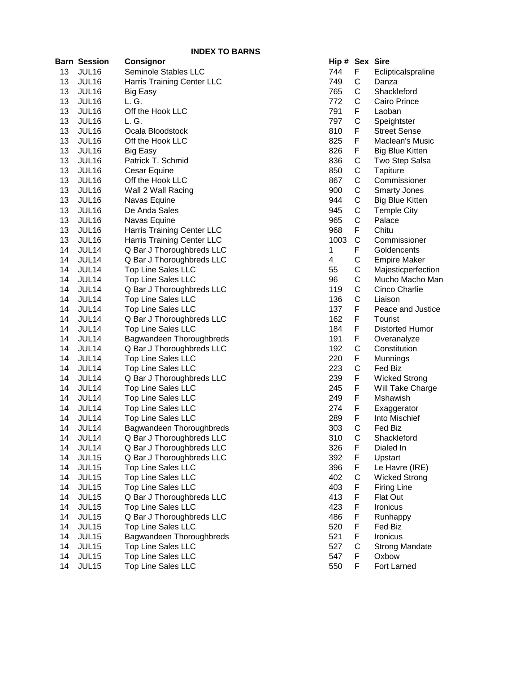|          |                       | <b>INDEX TO BARNS</b>                                  |            |
|----------|-----------------------|--------------------------------------------------------|------------|
|          | <b>Barn Session</b>   | <b>Consignor</b>                                       | Hip #      |
| 13       | JUL16                 | Seminole Stables LLC                                   | 744        |
| 13       | JUL16                 | Harris Training Center LLC                             | 749        |
| 13       | JUL16                 | Big Easy                                               | 765        |
| 13       | JUL16                 | L. G.                                                  | 772        |
| 13       | JUL16                 | Off the Hook LLC                                       | 791        |
| 13       | JUL16                 | L. G.                                                  | 797        |
| 13       | JUL16                 | Ocala Bloodstock                                       | 810        |
| 13       | JUL16                 | Off the Hook LLC                                       | 825        |
| 13       | JUL16                 | <b>Big Easy</b>                                        | 826        |
| 13       | JUL16                 | Patrick T. Schmid                                      | 836        |
| 13       | JUL16                 | Cesar Equine                                           | 850        |
| 13       | JUL16                 | Off the Hook LLC                                       | 867        |
| 13       | JUL16                 | Wall 2 Wall Racing                                     | 900        |
| 13       | JUL16                 | Navas Equine                                           | 944        |
| 13       | JUL16                 | De Anda Sales                                          | 945        |
| 13       | JUL16                 | Navas Equine                                           | 965        |
| 13       | JUL16                 | <b>Harris Training Center LLC</b>                      | 968        |
| 13       | JUL16                 | Harris Training Center LLC                             | 1003       |
| 14       | JUL14                 | Q Bar J Thoroughbreds LLC                              | 1          |
| 14       | JUL14                 | Q Bar J Thoroughbreds LLC                              | 4          |
| 14       | JUL14                 | <b>Top Line Sales LLC</b>                              | 55         |
| 14       | JUL14                 | <b>Top Line Sales LLC</b>                              | 96         |
| 14       | JUL14                 | Q Bar J Thoroughbreds LLC                              | 119        |
| 14       | JUL14                 | <b>Top Line Sales LLC</b>                              | 136        |
| 14       | JUL14                 | <b>Top Line Sales LLC</b>                              | 137        |
| 14       | JUL14                 | Q Bar J Thoroughbreds LLC                              | 162        |
| 14       | JUL14                 | <b>Top Line Sales LLC</b>                              | 184        |
| 14       | JUL14                 | Bagwandeen Thoroughbreds                               | 191        |
| 14       | JUL14                 | Q Bar J Thoroughbreds LLC                              | 192        |
| 14       | JUL14                 | Top Line Sales LLC                                     | 220        |
| 14       | JUL14                 | <b>Top Line Sales LLC</b>                              | 223        |
| 14       | JUL14                 | Q Bar J Thoroughbreds LLC                              | 239        |
| 14       | JUL14                 | <b>Top Line Sales LLC</b>                              | 245        |
| 14       | JUL14                 | <b>Top Line Sales LLC</b>                              | 249        |
| 14       | JUL14                 | <b>Top Line Sales LLC</b>                              | 274        |
| 14       | JUL14                 | <b>Top Line Sales LLC</b>                              | 289        |
| 14       | JUL14                 | Bagwandeen Thoroughbreds                               | 303        |
| 14       | JUL14                 | Q Bar J Thoroughbreds LLC                              | 310        |
| 14       | JUL14                 | Q Bar J Thoroughbreds LLC                              | 326        |
| 14       | JUL15                 | Q Bar J Thoroughbreds LLC                              | 392        |
| 14<br>14 | JUL15<br><b>JUL15</b> | <b>Top Line Sales LLC</b>                              | 396<br>402 |
| 14       | <b>JUL15</b>          | <b>Top Line Sales LLC</b><br><b>Top Line Sales LLC</b> | 403        |
| 14       | JUL15                 |                                                        | 413        |
| 14       | JUL15                 | Q Bar J Thoroughbreds LLC<br><b>Top Line Sales LLC</b> | 423        |
| 14       | JUL15                 | Q Bar J Thoroughbreds LLC                              | 486        |
| 14       | JUL15                 | <b>Top Line Sales LLC</b>                              | 520        |
| 14       | JUL15                 | Bagwandeen Thoroughbreds                               | 521        |
| 14       | JUL15                 | <b>Top Line Sales LLC</b>                              | 527        |
| 14       | JUL15                 | <b>Top Line Sales LLC</b>                              | 547        |
| 14       | JUL15                 | <b>Top Line Sales LLC</b>                              | 550        |
|          |                       |                                                        |            |

| Hip # | <b>Sex</b>   | <b>Sire</b>            |
|-------|--------------|------------------------|
| 744   | F            | Eclipticalspraline     |
| 749   |              | Danza                  |
| 765   | C<br>C       | Shackleford            |
| 772   | C<br>F       | Cairo Prince           |
| 791   |              | Laoban                 |
| 797   |              | Speightster            |
| 810   | C<br>F       | <b>Street Sense</b>    |
| 825   | F            | Maclean's Music        |
| 826   | F            | <b>Big Blue Kitten</b> |
| 836   | $\mathsf{C}$ | Two Step Salsa         |
| 850   |              | Tapiture               |
| 867   | CCCCCCF      | Commissioner           |
| 900   |              | <b>Smarty Jones</b>    |
| 944   |              | <b>Big Blue Kitten</b> |
| 945   |              | <b>Temple City</b>     |
| 965   |              | Palace                 |
| 968   |              | Chitu                  |
| 1003  |              | Commissioner           |
| 1     |              | Goldencents            |
| 4     |              | <b>Empire Maker</b>    |
| 55    |              | Majesticperfection     |
| 96    |              | Mucho Macho Man        |
| 119   |              | Cinco Charlie          |
| 136   | CFCCCCCCC    | Liaison                |
| 137   | F            | Peace and Justice      |
| 162   | F            | Tourist                |
| 184   | F            | Distorted Humor        |
| 191   | F            | Overanalyze            |
| 192   |              | Constitution           |
| 220   | C<br>F       | Munnings               |
| 223   |              | Fed Biz                |
| 239   | C<br>F       | <b>Wicked Strong</b>   |
| 245   | F            | Will Take Charge       |
| 249   | F            | Mshawish               |
| 274   | F            | Exaggerator            |
| 289   | F            | Into Mischief          |
| 303   | C            | Fed Biz                |
| 310   | $\mathsf{C}$ | Shackleford            |
| 326   | F            | Dialed In              |
| 392   | F            | Upstart                |
| 396   | F            | Le Havre (IRE)         |
| 402   | $\mathsf{C}$ | <b>Wicked Strong</b>   |
| 403   | F            | <b>Firing Line</b>     |
| 413   | F            | Flat Out               |
| 423   | F            |                        |
| 486   | F            | Ironicus               |
| 520   | F            | Runhappy               |
|       | F            | Fed Biz                |
| 521   |              | Ironicus               |
| 527   | C<br>F       | Strong Mandate         |
| 547   |              | Oxbow                  |
| 550   | F            | Fort Larned            |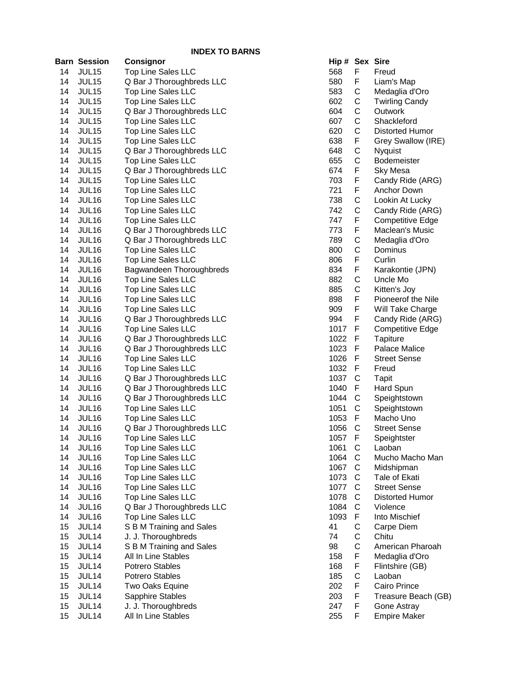|    | <b>Barn Session</b> | Consignor                 |     | Hip # Sex Sire |              |              |
|----|---------------------|---------------------------|-----|----------------|--------------|--------------|
| 14 | JUL15               | <b>Top Line Sales LLC</b> |     | 568            | F            | Freu         |
| 14 | JUL15               | Q Bar J Thoroughbreds LLC | 580 | F              | Liam         |              |
| 14 | JUL15               | <b>Top Line Sales LLC</b> | 583 | С              | Med          |              |
| 14 | JUL15               | Top Line Sales LLC        |     | 602            | С            | Twir         |
| 14 | JUL15               | Q Bar J Thoroughbreds LLC |     | 604            | С            | Out          |
| 14 | JUL15               | Top Line Sales LLC        |     | 607            | С            | Sha          |
| 14 | JUL15               | <b>Top Line Sales LLC</b> |     | 620            | C            | <b>Dist</b>  |
| 14 | JUL15               | Top Line Sales LLC        |     | 638            | F            | Grey         |
| 14 | JUL15               | Q Bar J Thoroughbreds LLC |     | 648            | С            | Nyq          |
| 14 | JUL15               | <b>Top Line Sales LLC</b> |     | 655            | С            | <b>Bod</b>   |
| 14 | JUL15               | Q Bar J Thoroughbreds LLC |     | 674            | F            | Sky          |
| 14 | JUL15               | Top Line Sales LLC        |     | 703            | F            | Can          |
| 14 | JUL16               | Top Line Sales LLC        |     | 721            | F            | Ancl         |
| 14 | JUL16               | Top Line Sales LLC        |     | 738            | C            | Lool         |
| 14 | JUL16               | Top Line Sales LLC        |     | 742            | C            | Can          |
| 14 | JUL16               | Top Line Sales LLC        |     | 747            | F            | Com          |
| 14 | JUL16               | Q Bar J Thoroughbreds LLC |     | 773            | F            | Mac          |
| 14 | JUL16               | Q Bar J Thoroughbreds LLC |     | 789            | C            | Med          |
| 14 | JUL16               | Top Line Sales LLC        |     | 800            | C            | Dom          |
| 14 | JUL16               | <b>Top Line Sales LLC</b> |     | 806            | F            | Curl         |
| 14 | JUL16               | Bagwandeen Thoroughbreds  |     | 834            | F            | Kara         |
| 14 | JUL16               | Top Line Sales LLC        |     | 882            | С            | Unc          |
| 14 | JUL16               | Top Line Sales LLC        |     | 885            | С            | Kitte        |
| 14 | JUL16               | Top Line Sales LLC        |     | 898            | F            | Pion         |
| 14 | JUL16               | Top Line Sales LLC        |     | 909            | F            | Will         |
| 14 | JUL16               | Q Bar J Thoroughbreds LLC |     | 994            | F            | Can          |
| 14 | JUL16               | Top Line Sales LLC        |     | 1017           | F            | Com          |
| 14 | JUL16               | Q Bar J Thoroughbreds LLC |     | 1022           | F            | Tapi         |
| 14 | JUL16               | Q Bar J Thoroughbreds LLC |     | 1023           | F            | Pala         |
| 14 | JUL16               | <b>Top Line Sales LLC</b> |     | 1026           | F            | <b>Stre</b>  |
| 14 | JUL16               | Top Line Sales LLC        |     | 1032           | F            | Freu         |
| 14 | JUL16               | Q Bar J Thoroughbreds LLC |     | 1037           | $\mathsf{C}$ | Tapi         |
| 14 | JUL16               | Q Bar J Thoroughbreds LLC |     | 1040           | F            | Hard         |
| 14 | JUL16               | Q Bar J Thoroughbreds LLC |     | 1044           | $\mathsf{C}$ | Spei         |
| 14 | JUL16               | Top Line Sales LLC        |     | 1051           | С            | Spei         |
| 14 | JUL16               | Top Line Sales LLC        |     | 1053           | F            | Mac          |
| 14 | JUL16               | Q Bar J Thoroughbreds LLC |     | 1056           | C            | <b>Stre</b>  |
| 14 | JUL16               | Top Line Sales LLC        |     | 1057           | $\mathsf F$  | Spei         |
| 14 | JUL16               | <b>Top Line Sales LLC</b> |     | 1061           | С            | Laol         |
| 14 | JUL16               | <b>Top Line Sales LLC</b> |     | 1064           | С            | Muc          |
| 14 | JUL16               | <b>Top Line Sales LLC</b> |     | 1067           | С            | Mids         |
| 14 | JUL16               | <b>Top Line Sales LLC</b> |     | 1073           | С            | Tale         |
| 14 | JUL16               | <b>Top Line Sales LLC</b> |     | 1077           | С            | <b>Stre</b>  |
| 14 | JUL16               | Top Line Sales LLC        |     | 1078           | С            | <b>Dist</b>  |
| 14 | JUL16               | Q Bar J Thoroughbreds LLC |     | 1084           | С            | <b>Viole</b> |
| 14 | JUL16               | <b>Top Line Sales LLC</b> |     | 1093           | F            | Into         |
| 15 | JUL14               | S B M Training and Sales  |     | 41             | C            | Carp         |
| 15 | JUL14               | J. J. Thoroughbreds       |     | 74             | С            | Chit         |
| 15 | JUL14               | S B M Training and Sales  |     | 98             | С            | Ame          |
| 15 | JUL14               | All In Line Stables       |     | 158            | F            | Med          |
| 15 | JUL14               | <b>Potrero Stables</b>    |     | 168            | F            | Flint        |
| 15 | JUL14               | <b>Potrero Stables</b>    |     | 185            | C            | Laol         |
| 15 | JUL14               | Two Oaks Equine           |     | 202            | F            | Cair         |
| 15 | JUL14               | Sapphire Stables          |     | 203            | F            | <b>Trea</b>  |
| 15 | JUL14               | J. J. Thoroughbreds       |     | 247            | F            | Gon          |
| 15 | JUL14               | All In Line Stables       |     | 255            | F            | Emp          |

| Hip # | Sex                   | Sire                    |
|-------|-----------------------|-------------------------|
| 568   | F                     | Freud                   |
| 580   | F                     | Liam's Map              |
| 583   |                       | Medaglia d'Oro          |
| 602   |                       | <b>Twirling Candy</b>   |
| 604   |                       | Outwork                 |
| 607   | C<br>C<br>C<br>C<br>C | Shackleford             |
| 620   |                       | Distorted Humor         |
| 638   |                       | Grey Swallow (IRE)      |
| 648   | F<br>C<br>C           | Nyquist                 |
| 655   |                       | <b>Bodemeister</b>      |
| 674   | F                     | Sky Mesa                |
| 703   | F                     | Candy Ride (ARG)        |
| 721   | F                     | <b>Anchor Down</b>      |
| 738   | $\mathsf{C}$          | Lookin At Lucky         |
| 742   | C                     | Candy Ride (ARG)        |
| 747   | F                     | <b>Competitive Edge</b> |
| 773   | F                     | Maclean's Music         |
| 789   |                       | Medaglia d'Oro          |
| 800   | C<br>C                | Dominus                 |
| 806   | F                     | Curlin                  |
| 834   | F                     | Karakontie (JPN)        |
| 882   | $\mathsf{C}$          | Uncle Mo                |
| 885   | Ċ                     | Kitten's Joy            |
| 898   | F                     | Pioneerof the Nile      |
|       | F                     | Will Take Charge        |
| 909   | F                     |                         |
| 994   |                       | Candy Ride (ARG)        |
| 1017  | F                     | <b>Competitive Edge</b> |
| 1022  | F                     | Tapiture                |
| 1023  | F                     | Palace Malice           |
| 1026  | F                     | <b>Street Sense</b>     |
| 1032  | F                     | Freud                   |
| 1037  | C                     | Tapit                   |
| 1040  | F                     | Hard Spun               |
| 1044  | $\mathsf{C}$          | Speightstown            |
| 1051  |                       | Speightstown            |
| 1053  | C<br>F<br>C           | Macho Uno               |
| 1056  |                       | <b>Street Sense</b>     |
| 1057  | F                     | Speightster             |
| 1061  |                       | Laoban                  |
| 1064  |                       | Mucho Macho Man         |
| 1067  |                       | Midshipman              |
| 1073  |                       | Tale of Ekati           |
| 1077  |                       | <b>Street Sense</b>     |
| 1078  |                       | Distorted Humor         |
| 1084  |                       | Violence                |
| 1093  |                       | Into Mischief           |
| 41    |                       | Carpe Diem              |
| 74    | CCCCCCCFCCCFFCF       | Chitu                   |
| 98    |                       | American Pharoah        |
| 158   |                       | Medaglia d'Oro          |
| 168   |                       | Flintshire (GB)         |
| 185   |                       | Laoban                  |
| 202   |                       | Cairo Prince            |
| 203   | F                     | Treasure Beach (GB)     |
| 247   | F                     | Gone Astray             |
| 255   | F                     | <b>Empire Maker</b>     |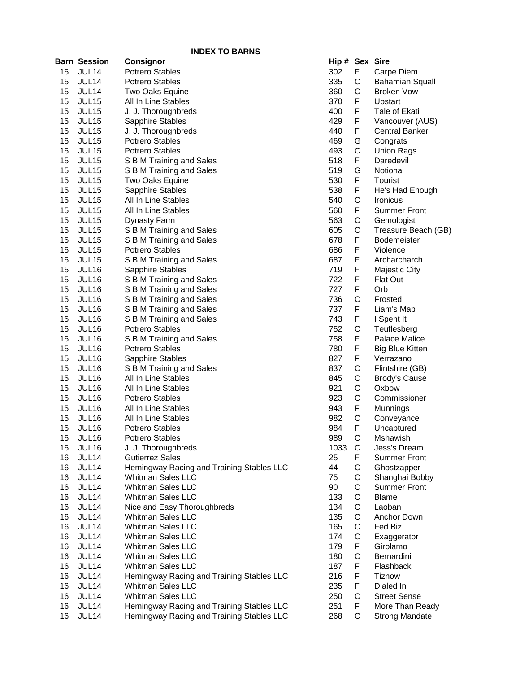|    | <b>Barn Session</b> | Consignor                                     | Hip # Sex Sire |             |                                       |
|----|---------------------|-----------------------------------------------|----------------|-------------|---------------------------------------|
| 15 | JUL14               | <b>Potrero Stables</b>                        | 302            | F           | Carpe Diem                            |
| 15 | JUL14               | <b>Potrero Stables</b>                        | 335            | С           | <b>Bahamian Squall</b>                |
| 15 | JUL14               | Two Oaks Equine                               | 360            | C           | <b>Broken Vow</b>                     |
| 15 | JUL15               | All In Line Stables                           | 370            | F           | Upstart                               |
| 15 | JUL15               | J. J. Thoroughbreds                           | 400            | F           | Tale of Ekati                         |
| 15 | JUL15               | Sapphire Stables                              | 429            | F           | Vancouver (AUS)                       |
| 15 | JUL15               | J. J. Thoroughbreds                           | 440            | F           | <b>Central Banker</b>                 |
| 15 | JUL <sub>15</sub>   | <b>Potrero Stables</b>                        | 469            | G           | Congrats                              |
| 15 | JUL <sub>15</sub>   | <b>Potrero Stables</b>                        | 493            | C           | <b>Union Rags</b>                     |
| 15 | JUL <sub>15</sub>   | S B M Training and Sales                      | 518            | F.          | Daredevil                             |
| 15 | JUL <sub>15</sub>   | S B M Training and Sales                      | 519            | G           | Notional                              |
| 15 | JUL <sub>15</sub>   | Two Oaks Equine                               | 530            | F           | Tourist                               |
| 15 | JUL <sub>15</sub>   | Sapphire Stables                              | 538            | F           | He's Had Enough                       |
| 15 | JUL <sub>15</sub>   | All In Line Stables                           | 540            | C           | <b>Ironicus</b>                       |
| 15 | JUL <sub>15</sub>   | All In Line Stables                           | 560            | F           | <b>Summer Front</b>                   |
| 15 | JUL <sub>15</sub>   | <b>Dynasty Farm</b>                           | 563            | С           | Gemologist                            |
| 15 | JUL <sub>15</sub>   | S B M Training and Sales                      | 605            | C           | Treasure Beach (GB)                   |
| 15 | JUL15               | S B M Training and Sales                      | 678            | F           | <b>Bodemeister</b>                    |
| 15 | JUL <sub>15</sub>   | <b>Potrero Stables</b>                        | 686            | F           | Violence                              |
| 15 | JUL <sub>15</sub>   | S B M Training and Sales                      | 687            | F           | Archarcharch                          |
| 15 | JUL16               | Sapphire Stables                              | 719            | F           | <b>Majestic City</b>                  |
| 15 | JUL16               | S B M Training and Sales                      | 722            | F           | Flat Out                              |
| 15 | JUL16               | S B M Training and Sales                      | 727            | F           | Orb                                   |
| 15 | JUL16               | S B M Training and Sales                      | 736            | C           | Frosted                               |
| 15 | JUL16               | S B M Training and Sales                      | 737            | F           | Liam's Map                            |
| 15 | JUL16               | S B M Training and Sales                      | 743            | F           | I Spent It                            |
| 15 | JUL16               | Potrero Stables                               | 752            | С           | Teuflesberg                           |
| 15 | JUL16               | S B M Training and Sales                      | 758            | F           | Palace Malice                         |
| 15 | JUL16               | <b>Potrero Stables</b>                        | 780            | F           | <b>Big Blue Kitten</b>                |
| 15 | JUL <sub>16</sub>   | Sapphire Stables                              | 827            | F           | Verrazano                             |
| 15 | JUL <sub>16</sub>   | S B M Training and Sales                      | 837            | С           | Flintshire (GB)                       |
| 15 | JUL <sub>16</sub>   | All In Line Stables                           | 845            | С           | Brody's Cause                         |
| 15 | JUL <sub>16</sub>   | All In Line Stables                           | 921            | С           | Oxbow                                 |
| 15 | JUL16               | Potrero Stables                               | 923            | C           | Commissioner                          |
| 15 |                     | All In Line Stables                           | 943            | F           |                                       |
| 15 | JUL16<br>JUL16      |                                               | 982            | C           | Munnings                              |
| 15 | JUL16               | All In Line Stables                           | 984            | F           | Conveyance                            |
| 15 |                     | Potrero Stables<br>Potrero Stables            | 989            | $\mathsf C$ | Uncaptured<br>Mshawish                |
| 15 | JUL16<br>JUL16      |                                               | 1033           | C           |                                       |
| 16 | JUL14               | J. J. Thoroughbreds<br><b>Gutierrez Sales</b> | 25             | F           | Jess's Dream<br><b>Summer Front</b>   |
| 16 |                     | Hemingway Racing and Training Stables LLC     | 44             | С           | Ghostzapper                           |
| 16 | JUL14<br>JUL14      | Whitman Sales LLC                             | 75             | C           |                                       |
| 16 | JUL14               | <b>Whitman Sales LLC</b>                      | 90             | C           | Shanghai Bobby<br><b>Summer Front</b> |
| 16 | JUL14               | <b>Whitman Sales LLC</b>                      | 133            | C           | <b>Blame</b>                          |
|    |                     |                                               | 134            |             |                                       |
| 16 | JUL14               | Nice and Easy Thoroughbreds                   | 135            | C<br>C      | Laoban<br>Anchor Down                 |
| 16 | JUL14               | <b>Whitman Sales LLC</b>                      |                |             |                                       |
| 16 | JUL14               | <b>Whitman Sales LLC</b>                      | 165            | С           | Fed Biz                               |
| 16 | JUL14               | <b>Whitman Sales LLC</b>                      | 174            | С           | Exaggerator                           |
| 16 | JUL14               | <b>Whitman Sales LLC</b>                      | 179            | F           | Girolamo                              |
| 16 | JUL14               | <b>Whitman Sales LLC</b>                      | 180            | C           | Bernardini                            |
| 16 | JUL14               | <b>Whitman Sales LLC</b>                      | 187            | F           | Flashback                             |
| 16 | JUL14               | Hemingway Racing and Training Stables LLC     | 216            | F           | Tiznow                                |
| 16 | JUL14               | <b>Whitman Sales LLC</b>                      | 235            | F           | Dialed In                             |
| 16 | JUL14               | <b>Whitman Sales LLC</b>                      | 250            | C           | <b>Street Sense</b>                   |
| 16 | JUL14               | Hemingway Racing and Training Stables LLC     | 251            | F           | More Than Ready                       |
| 16 | JUL14               | Hemingway Racing and Training Stables LLC     | 268            | С           | <b>Strong Mandate</b>                 |

| Hip # | <b>Sex</b>        | Sire                   |
|-------|-------------------|------------------------|
| 302   | F                 | Carpe Diem             |
| 335   | C                 | <b>Bahamian Squall</b> |
|       |                   |                        |
| 360   | C<br>F            | <b>Broken Vow</b>      |
| 370   |                   | Upstart                |
| 400   | F                 | Tale of Ekati          |
| 429   | F<br>F            | Vancouver (AUS)        |
| 440   |                   | <b>Central Banker</b>  |
| 469   |                   | Congrats               |
| 493   |                   | <b>Union Rags</b>      |
| 518   |                   | Daredevil              |
|       |                   |                        |
| 519   |                   | Notional               |
| 530   | GCFGFFCF          | Tourist                |
| 538   |                   | He's Had Enough        |
| 540   |                   | Ironicus               |
| 560   |                   | <b>Summer Front</b>    |
| 563   |                   | Gemologist             |
| 605   | C<br>C<br>F       | Treasure Beach (GB     |
| 378   |                   | Bodemeister            |
|       |                   |                        |
| 386   | F                 | Violence               |
| 387   | F                 | Archarcharch           |
| 719   | F                 | Majestic City          |
| 722   | F                 | Flat Out               |
| 727   | F                 | Orb                    |
| 736   |                   | Frosted                |
| 737   | C<br>F            | Liam's Map             |
| 743   |                   | I Spent It             |
| 752   |                   | Teuflesberg            |
| 758   | F<br>C<br>F       | <b>Palace Malice</b>   |
|       |                   |                        |
| 780   | F                 | <b>Big Blue Kitten</b> |
| 327   | $\frac{1}{2}$     | Verrazano              |
| 337   |                   | Flintshire (GB)        |
| 345   |                   | <b>Brody's Cause</b>   |
| 921   |                   | Oxbow                  |
| 923   | CCCCFCF           | Commissioner           |
| 943   |                   | Munnings               |
| 982   |                   | Conveyance             |
| 984   |                   | Uncaptured             |
| 989   | $\mathsf{C}$      | Mshawish               |
| 1033  |                   | Jess's Dream           |
| 25    |                   |                        |
|       |                   | <b>Summer Front</b>    |
| 44    |                   | Ghostzapper            |
| 75    |                   | Shanghai Bobby         |
| 90    |                   | <b>Summer Front</b>    |
| 133   |                   | <b>Blame</b>           |
| 134   |                   | Laoban                 |
| 135   |                   | Anchor Down            |
| 165   |                   | Fed Biz                |
| 174   |                   | Exaggerator            |
| 179   |                   | Girolamo               |
| 180   |                   | Bernardini             |
|       |                   |                        |
| 187   |                   | Flashback              |
| 216   |                   | Tiznow                 |
| 235   |                   | Dialed In              |
| 250   | CFCCCCCCCCFCFFFCF | <b>Street Sense</b>    |
| 251   |                   | More Than Ready        |
| 268   | Ċ                 | Strong Mandate         |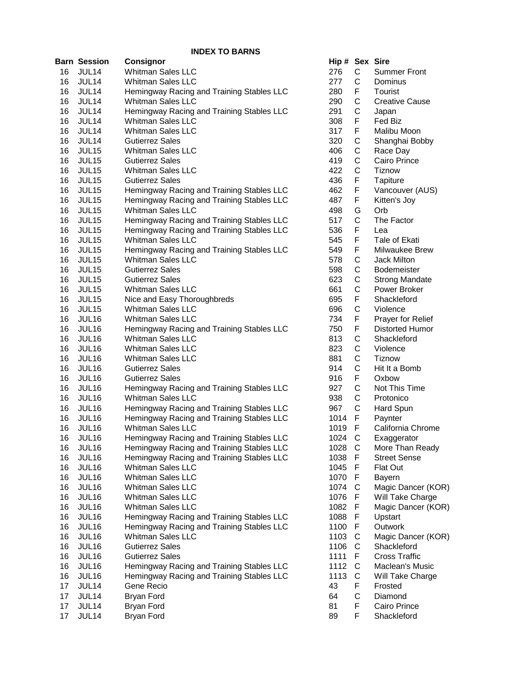|    | <b>Barn Session</b> | <b>Consignor</b>                          | Hip # Sex Sire |              |                       |
|----|---------------------|-------------------------------------------|----------------|--------------|-----------------------|
| 16 | JUL14               | <b>Whitman Sales LLC</b>                  | 276            | $\mathsf{C}$ | <b>Summer Front</b>   |
| 16 | JUL14               | <b>Whitman Sales LLC</b>                  | 277            | C            | Dominus               |
| 16 | JUL14               | Hemingway Racing and Training Stables LLC | 280            | F            | Tourist               |
| 16 | JUL14               | <b>Whitman Sales LLC</b>                  | 290            | C            | <b>Creative Cause</b> |
| 16 | JUL14               | Hemingway Racing and Training Stables LLC | 291            | C            | Japan                 |
| 16 | JUL14               | Whitman Sales LLC                         | 308            | F            | Fed Biz               |
| 16 | JUL14               | <b>Whitman Sales LLC</b>                  | 317            | F            | Malibu Moon           |
| 16 | JUL14               | <b>Gutierrez Sales</b>                    | 320            | C            | Shanghai Bobby        |
| 16 | JUL15               | <b>Whitman Sales LLC</b>                  | 406            | C            | Race Day              |
| 16 | JUL15               | <b>Gutierrez Sales</b>                    | 419            | C            | Cairo Prince          |
| 16 | JUL15               | <b>Whitman Sales LLC</b>                  | 422            | C            | <b>Tiznow</b>         |
| 16 | JUL15               | <b>Gutierrez Sales</b>                    | 436            | F            | Tapiture              |
| 16 | JUL15               | Hemingway Racing and Training Stables LLC | 462            | F            | Vancouver (AUS)       |
| 16 | JUL <sub>15</sub>   | Hemingway Racing and Training Stables LLC | 487            | F            | Kitten's Joy          |
| 16 | JUL15               | <b>Whitman Sales LLC</b>                  | 498            | G            | Orb                   |
| 16 | JUL15               | Hemingway Racing and Training Stables LLC | 517            | C            | The Factor            |
| 16 | JUL15               | Hemingway Racing and Training Stables LLC | 536            | F            | Lea                   |
| 16 | JUL15               | <b>Whitman Sales LLC</b>                  | 545            | F            | Tale of Ekati         |
| 16 | JUL15               | Hemingway Racing and Training Stables LLC | 549            | F            | Milwaukee Brew        |
| 16 | JUL15               | <b>Whitman Sales LLC</b>                  | 578            | C            | <b>Jack Milton</b>    |
| 16 | JUL15               | <b>Gutierrez Sales</b>                    | 598            | C            | <b>Bodemeister</b>    |
| 16 | JUL15               | <b>Gutierrez Sales</b>                    | 623            | C            | <b>Strong Mandate</b> |
| 16 | JUL15               | <b>Whitman Sales LLC</b>                  | 661            | C            | Power Broker          |
| 16 | JUL15               | Nice and Easy Thoroughbreds               | 695            | F            | Shackleford           |
| 16 | JUL15               | <b>Whitman Sales LLC</b>                  | 696            | C            | Violence              |
| 16 | JUL16               | <b>Whitman Sales LLC</b>                  | 734            | F            | Prayer for Relief     |
| 16 | JUL16               | Hemingway Racing and Training Stables LLC | 750            | F            | Distorted Humor       |
| 16 | JUL16               | <b>Whitman Sales LLC</b>                  | 813            | C            | Shackleford           |
| 16 | JUL16               | <b>Whitman Sales LLC</b>                  | 823            | C            | Violence              |
| 16 | JUL16               | <b>Whitman Sales LLC</b>                  | 881            | C            | Tiznow                |
| 16 | JUL16               | <b>Gutierrez Sales</b>                    | 914            | C            | Hit It a Bomb         |
| 16 | JUL16               | <b>Gutierrez Sales</b>                    | 916            | F            | Oxbow                 |
| 16 | JUL16               | Hemingway Racing and Training Stables LLC | 927            | C            | Not This Time         |
| 16 | JUL16               | <b>Whitman Sales LLC</b>                  | 938            | C            | Protonico             |
| 16 | JUL16               | Hemingway Racing and Training Stables LLC | 967            | C            | Hard Spun             |
| 16 | JUL16               | Hemingway Racing and Training Stables LLC | 1014           | F            | Paynter               |
| 16 | JUL16               | <b>Whitman Sales LLC</b>                  | 1019           | F            | California Chrome     |
| 16 | JUL16               | Hemingway Racing and Training Stables LLC | 1024           | $\mathbf C$  | Exaggerator           |
| 16 | JUL16               | Hemingway Racing and Training Stables LLC | 1028 C         |              | More Than Ready       |
| 16 | JUL16               | Hemingway Racing and Training Stables LLC | 1038           | -F           | <b>Street Sense</b>   |
| 16 | JUL16               | <b>Whitman Sales LLC</b>                  | 1045 F         |              | Flat Out              |
| 16 | JUL16               | <b>Whitman Sales LLC</b>                  | 1070           | - F          | Bayern                |
| 16 | JUL16               | <b>Whitman Sales LLC</b>                  | 1074           | C            | Magic Dancer (KOR)    |
| 16 | JUL16               | <b>Whitman Sales LLC</b>                  | 1076           | -F           | Will Take Charge      |
| 16 | JUL16               | <b>Whitman Sales LLC</b>                  | 1082 F         |              | Magic Dancer (KOR)    |
| 16 | JUL16               | Hemingway Racing and Training Stables LLC | 1088           | F            | Upstart               |
| 16 | JUL16               | Hemingway Racing and Training Stables LLC | 1100           | F            | Outwork               |
| 16 | JUL16               | <b>Whitman Sales LLC</b>                  | 1103           | C            | Magic Dancer (KOR)    |
| 16 | JUL16               | <b>Gutierrez Sales</b>                    | 1106           | C            | Shackleford           |
| 16 | JUL16               | <b>Gutierrez Sales</b>                    | 1111           | F            | <b>Cross Traffic</b>  |
| 16 | JUL16               | Hemingway Racing and Training Stables LLC | 1112           | C            | Maclean's Music       |
| 16 | JUL16               | Hemingway Racing and Training Stables LLC | 1113           | C            | Will Take Charge      |
| 17 | JUL14               | Gene Recio                                | 43             | F            | Frosted               |
| 17 | JUL14               | <b>Bryan Ford</b>                         | 64             | C            | Diamond               |
| 17 | JUL14               | <b>Bryan Ford</b>                         | 81             | F            | Cairo Prince          |
| 17 | JUL14               | <b>Bryan Ford</b>                         | 89             | F            | Shackleford           |
|    |                     |                                           |                |              |                       |

| lip # | Sex                   | <b>Sire</b>            |
|-------|-----------------------|------------------------|
| 276   | С                     | <b>Summer Front</b>    |
| 277   |                       | Dominus                |
| 280   |                       | Tourist                |
|       |                       | <b>Creative Cause</b>  |
| 290   |                       |                        |
| 291   | C<br>F<br>C<br>C<br>F | Japan                  |
| 808   |                       | Fed Biz                |
| 317   |                       | Malibu Moon            |
| 320   |                       | Shanghai Bobby         |
| 106   |                       | Race Day               |
| I19   |                       | Cairo Prince           |
| 122   |                       | <b>Tiznow</b>          |
| 136   |                       | <b>Tapiture</b>        |
| 162   | FCCCCFF               | Vancouver (AUS)        |
| 187   | F                     | Kitten's Joy           |
|       |                       |                        |
| 198   | G                     | Orb                    |
| 517   | C                     | The Factor             |
| 536   | F                     | Lea                    |
| 545   | F                     | Tale of Ekati          |
| 549   | F                     | Milwaukee Brew         |
| 578   |                       | <b>Jack Milton</b>     |
| 598   |                       | Bodemeister            |
| 323   |                       | <b>Strong Mandate</b>  |
| 61 (  |                       | Power Broker           |
| 395   |                       | Shackleford            |
| 396   |                       | Violence               |
|       |                       |                        |
| '34   |                       | Prayer for Relief      |
| 750   | CCCCFCFFCCCCFCCC      | <b>Distorted Humor</b> |
| 313   |                       | Shackleford            |
| 323   |                       | Violence               |
| 81    |                       | <b>Tiznow</b>          |
| 914   |                       | Hit It a Bomb          |
| 916   |                       | Oxbow                  |
| 327   |                       | Not This Time          |
| 38    |                       | Protonico              |
| 87    |                       | <b>Hard Spun</b>       |
| 014   | F                     | Paynter                |
| 019   | F                     | California Chrome      |
|       |                       |                        |
| 024   | С                     | Exaggerator            |
| 028   | Ċ                     | More Than Ready        |
| 038   | F                     | <b>Street Sense</b>    |
| 045   | F                     | <b>Flat Out</b>        |
| 070   | F                     | Bayern                 |
| 074   | C                     | Magic Dancer (KOR)     |
| 076   | F                     | Will Take Charge       |
| 082   | F                     | Magic Dancer (KOR)     |
| 088   | F                     | Upstart                |
| 100   | F                     | Outwork                |
| 103   |                       | Magic Dancer (KOR)     |
| 106   |                       | Shackleford            |
|       |                       | <b>Cross Traffic</b>   |
| 111   |                       |                        |
| 112   |                       | Maclean's Music        |
| 113   |                       | Will Take Charge       |
| IЗ    |                       | Frosted                |
| š4    | CCFCCFCF              | Diamond                |
| 31    |                       | Cairo Prince           |
| 39    | F                     | Shackleford            |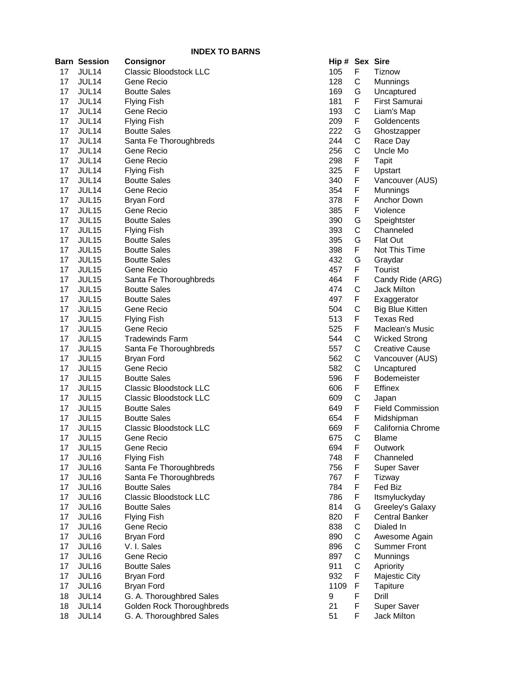|    | Barn Session      | Consignor                     | Hip # Sex Sire |   |                         |
|----|-------------------|-------------------------------|----------------|---|-------------------------|
| 17 | JUL14             | <b>Classic Bloodstock LLC</b> | 105            | F | Tiznow                  |
| 17 | JUL14             | Gene Recio                    | 128            | C | Munnings                |
| 17 | JUL14             | <b>Boutte Sales</b>           | 169            | G | Uncaptured              |
| 17 | JUL <sub>14</sub> | <b>Flying Fish</b>            | 181            | F | First Samurai           |
| 17 | JUL14             | Gene Recio                    | 193            | С | Liam's Map              |
| 17 | JUL14             | <b>Flying Fish</b>            | 209            | F | Goldencents             |
| 17 | JUL14             | <b>Boutte Sales</b>           | 222            | G | Ghostzapper             |
| 17 | JUL14             | Santa Fe Thoroughbreds        | 244            | C | Race Day                |
| 17 | JUL14             | Gene Recio                    | 256            | C | Uncle Mo                |
| 17 | JUL14             | Gene Recio                    | 298            | F | <b>Tapit</b>            |
| 17 | JUL14             | <b>Flying Fish</b>            | 325            | F | Upstart                 |
| 17 | JUL14             | <b>Boutte Sales</b>           | 340            | F | Vancouver (AUS)         |
| 17 | JUL <sub>14</sub> | Gene Recio                    | 354            | F | Munnings                |
| 17 | JUL <sub>15</sub> | Bryan Ford                    | 378            | F | Anchor Down             |
| 17 | JUL15             | Gene Recio                    | 385            | F | Violence                |
| 17 | JUL15             | <b>Boutte Sales</b>           | 390            | G | Speightster             |
| 17 | JUL <sub>15</sub> | <b>Flying Fish</b>            | 393            | C | Channeled               |
| 17 | JUL <sub>15</sub> | <b>Boutte Sales</b>           | 395            | G | <b>Flat Out</b>         |
| 17 | JUL15             | <b>Boutte Sales</b>           | 398            | F | Not This Time           |
| 17 | JUL <sub>15</sub> | <b>Boutte Sales</b>           | 432            | G | Graydar                 |
| 17 | JUL <sub>15</sub> | Gene Recio                    | 457            | F | Tourist                 |
| 17 | JUL15             | Santa Fe Thoroughbreds        | 464            | F | Candy Ride (ARG)        |
| 17 | JUL <sub>15</sub> | <b>Boutte Sales</b>           | 474            | C | Jack Milton             |
| 17 | JUL15             | <b>Boutte Sales</b>           | 497            | F | Exaggerator             |
| 17 | JUL <sub>15</sub> | Gene Recio                    | 504            | C | <b>Big Blue Kitten</b>  |
| 17 | JUL <sub>15</sub> | <b>Flying Fish</b>            | 513            | F | <b>Texas Red</b>        |
| 17 | JUL <sub>15</sub> | Gene Recio                    | 525            | F | Maclean's Music         |
| 17 | JUL <sub>15</sub> | <b>Tradewinds Farm</b>        | 544            | C | <b>Wicked Strong</b>    |
| 17 | JUL <sub>15</sub> | Santa Fe Thoroughbreds        | 557            | C | <b>Creative Cause</b>   |
| 17 | JUL15             | <b>Bryan Ford</b>             | 562            | C | Vancouver (AUS)         |
| 17 | JUL15             | Gene Recio                    | 582            | C | Uncaptured              |
| 17 | JUL15             | <b>Boutte Sales</b>           | 596            | F | Bodemeister             |
| 17 | JUL15             | <b>Classic Bloodstock LLC</b> | 606            | F | Effinex                 |
| 17 | JUL15             | <b>Classic Bloodstock LLC</b> | 609            | C | Japan                   |
| 17 | JUL15             | <b>Boutte Sales</b>           | 649            | F | <b>Field Commission</b> |
| 17 | JUL <sub>15</sub> | <b>Boutte Sales</b>           | 654            | F | Midshipman              |
| 17 | JUL <sub>15</sub> | <b>Classic Bloodstock LLC</b> | 669            | F | California Chrome       |
| 17 | JUL <sub>15</sub> | Gene Recio                    | 675            | C | <b>Blame</b>            |
| 17 | JUL <sub>15</sub> | Gene Recio                    | 694            | F | Outwork                 |
| 17 | JUL16             | <b>Flying Fish</b>            | 748            | F | Channeled               |
| 17 | JUL16             | Santa Fe Thoroughbreds        | 756            | F | Super Saver             |
| 17 | JUL16             | Santa Fe Thoroughbreds        | 767            | F | Tizway                  |
| 17 | JUL16             | <b>Boutte Sales</b>           | 784            | F | Fed Biz                 |
| 17 | JUL16             | <b>Classic Bloodstock LLC</b> | 786            | F | Itsmyluckyday           |
| 17 | JUL16             | <b>Boutte Sales</b>           | 814            | G | Greeley's Galaxy        |
| 17 | JUL16             | <b>Flying Fish</b>            | 820            | F | <b>Central Banker</b>   |
| 17 | JUL16             | Gene Recio                    | 838            | C | Dialed In               |
| 17 | JUL16             | <b>Bryan Ford</b>             | 890            | C | Awesome Again           |
| 17 | JUL16             | V. I. Sales                   | 896            | C | <b>Summer Front</b>     |
| 17 | JUL16             | Gene Recio                    | 897            | C | Munnings                |
| 17 | JUL16             | <b>Boutte Sales</b>           | 911            | C | Apriority               |
| 17 | JUL16             | <b>Bryan Ford</b>             | 932            | F | Majestic City           |
| 17 | JUL16             | <b>Bryan Ford</b>             | 1109           | F | <b>Tapiture</b>         |
| 18 | JUL14             | G. A. Thoroughbred Sales      | 9              | F | Drill                   |
| 18 | JUL14             | Golden Rock Thoroughbreds     | 21             | F | Super Saver             |
| 18 | JUL <sub>14</sub> | G. A. Thoroughbred Sales      | 51             | F | Jack Milton             |

|                 | Hip # Sex Sire |        |                                 |
|-----------------|----------------|--------|---------------------------------|
| dstock LLC      | 105            | F      | Tiznow                          |
|                 | 128            | С      | Munnings                        |
| 3               | 169            | G      | Uncaptured                      |
|                 | 181            | F.     | <b>First Samurai</b>            |
|                 | 193            | С      | Liam's Map                      |
|                 | 209            | F      | Goldencents                     |
|                 | 222            | G      | Ghostzapper                     |
| ioroughbreds    | 244            | C      | Race Day                        |
|                 | 256            | С      | Uncle Mo                        |
|                 | 298            | F      | <b>Tapit</b>                    |
|                 | 325            | F      | Upstart                         |
| 3               | 340            | F      | Vancouver (AUS)                 |
|                 | 354            | F      | Munnings                        |
|                 | 378            | F      | Anchor Down                     |
|                 | 385            | F      | Violence                        |
|                 | 390            | G      | Speightster                     |
|                 | 393            | C      | Channeled                       |
|                 | 395            | G      | Flat Out                        |
|                 | 398            | F      | Not This Time                   |
|                 | 432            | G      | Graydar                         |
|                 | 457            | F      | Tourist                         |
| ioroughbreds    | 464            | F      | Candy Ride (ARG)                |
|                 | 474            | C      | <b>Jack Milton</b>              |
|                 | 497            | F      | Exaggerator                     |
|                 | 504            | С      | <b>Big Blue Kitten</b>          |
|                 | 513            | F      | <b>Texas Red</b>                |
|                 | 525            | F      | Maclean's Music                 |
| Farm            | 544            | С      | <b>Wicked Strong</b>            |
| oroughbreds     | 557            | С      | <b>Creative Cause</b>           |
|                 | 562            | С      | Vancouver (AUS)                 |
|                 | 582            | C      | Uncaptured                      |
|                 | 596            | F      | Bodemeister                     |
| dstock LLC      | 606            | F      | Effinex                         |
| dstock LLC      | 609            | С      | Japan                           |
| 5               | 649            | F<br>F | <b>Field Commission</b>         |
| dstock LLC      | 654<br>669     | F      | Midshipman<br>California Chrome |
|                 | 675            | C      | <b>Blame</b>                    |
|                 | 694            | F      | Outwork                         |
|                 | 748            | F      | Channeled                       |
| ioroughbreds    | 756            | F      | <b>Super Saver</b>              |
| oroughbreds     | 767            | F      | Tizway                          |
|                 | 784            | F      | Fed Biz                         |
| dstock LLC      | 786            | F      | Itsmyluckyday                   |
| 3               | 814            | G      | Greeley's Galaxy                |
|                 | 820            | F      | <b>Central Banker</b>           |
|                 | 838            | С      | Dialed In                       |
|                 | 890            | С      | Awesome Again                   |
|                 | 896            | С      | <b>Summer Front</b>             |
|                 | 897            | С      | Munnings                        |
|                 | 911            | С      | Apriority                       |
|                 | 932            | F      | Majestic City                   |
|                 | 1109           | F      | Tapiture                        |
| ughbred Sales   | 9              | F      | Drill                           |
| k Thoroughbreds | 21             | F      | Super Saver                     |
| ughbred Sales   | 51             | F      | Jack Milton                     |
|                 |                |        |                                 |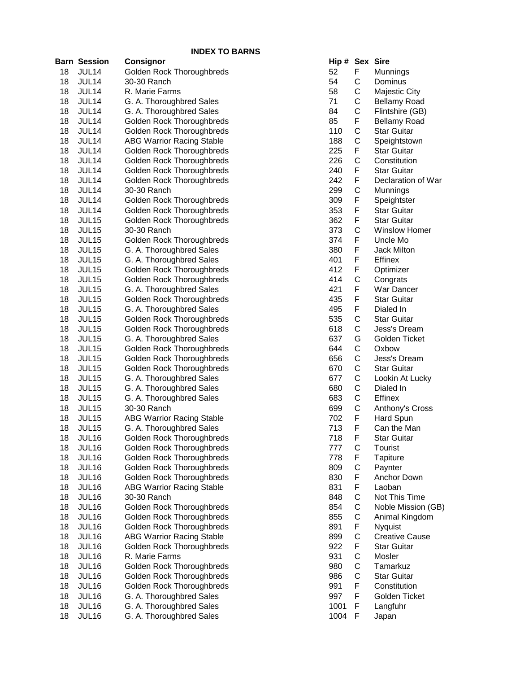|          |                       | INDEX TO BARNS                                        |            |
|----------|-----------------------|-------------------------------------------------------|------------|
|          | <b>Barn Session</b>   | <b>Consignor</b>                                      | Hip #      |
| 18       | JUL14                 | Golden Rock Thoroughbreds                             | 52         |
| 18       | JUL14                 | 30-30 Ranch                                           | 54         |
| 18       | JUL14                 | R. Marie Farms                                        | 58         |
| 18       | JUL14                 | G. A. Thoroughbred Sales                              | 71         |
| 18       | JUL14                 | G. A. Thoroughbred Sales                              | 84         |
| 18       | JUL14                 | Golden Rock Thoroughbreds                             | 85         |
| 18       | JUL14                 | Golden Rock Thoroughbreds                             | 110        |
| 18       | JUL14                 | <b>ABG Warrior Racing Stable</b>                      | 188        |
| 18       | JUL14                 | Golden Rock Thoroughbreds                             | 225        |
| 18       | JUL14                 | Golden Rock Thoroughbreds                             | 226        |
| 18       | JUL14                 | Golden Rock Thoroughbreds                             | 240        |
| 18       | JUL14                 | Golden Rock Thoroughbreds                             | 242        |
| 18       | JUL14                 | 30-30 Ranch                                           | 299        |
| 18       | JUL14                 | Golden Rock Thoroughbreds                             | 309        |
| 18       | JUL14                 | Golden Rock Thoroughbreds                             | 353        |
| 18       | JUL15<br><b>JUL15</b> | Golden Rock Thoroughbreds                             | 362        |
| 18<br>18 |                       | 30-30 Ranch                                           | 373<br>374 |
| 18       | JUL15<br>JUL15        | Golden Rock Thoroughbreds                             | 380        |
| 18       | JUL15                 | G. A. Thoroughbred Sales                              | 401        |
| 18       | JUL15                 | G. A. Thoroughbred Sales<br>Golden Rock Thoroughbreds | 412        |
| 18       | JUL15                 | Golden Rock Thoroughbreds                             | 414        |
| 18       | JUL15                 | G. A. Thoroughbred Sales                              | 421        |
| 18       | JUL15                 | Golden Rock Thoroughbreds                             | 435        |
| 18       | JUL15                 | G. A. Thoroughbred Sales                              | 495        |
| 18       | JUL15                 | Golden Rock Thoroughbreds                             | 535        |
| 18       | JUL15                 | Golden Rock Thoroughbreds                             | 618        |
| 18       | JUL15                 | G. A. Thoroughbred Sales                              | 637        |
| 18       | JUL15                 | Golden Rock Thoroughbreds                             | 644        |
| 18       | JUL15                 | Golden Rock Thoroughbreds                             | 656        |
| 18       | JUL15                 | Golden Rock Thoroughbreds                             | 670        |
| 18       | JUL15                 | G. A. Thoroughbred Sales                              | 677        |
| 18       | JUL15                 | G. A. Thoroughbred Sales                              | 680        |
| 18       | JUL15                 | G. A. Thoroughbred Sales                              | 683        |
| 18       | JUL15                 | 30-30 Ranch                                           | 699        |
| 18       | JUL15                 | <b>ABG Warrior Racing Stable</b>                      | 702        |
| 18       | JUL15                 | G. A. Thoroughbred Sales                              | 713        |
| 18       | JUL16                 | Golden Rock Thoroughbreds                             | 718        |
| 18       | JUL16                 | Golden Rock Thoroughbreds                             | 777        |
| 18       | <b>JUL16</b>          | Golden Rock Thoroughbreds                             | 778        |
| 18       | JUL16                 | Golden Rock Thoroughbreds                             | 809        |
| 18       | JUL16                 | Golden Rock Thoroughbreds                             | 830        |
| 18       | <b>JUL16</b>          | <b>ABG Warrior Racing Stable</b>                      | 831        |
| 18       | JUL16                 | 30-30 Ranch                                           | 848        |
| 18       | JUL16                 | Golden Rock Thoroughbreds                             | 854        |
| 18       | JUL16                 | Golden Rock Thoroughbreds                             | 855        |
| 18       | JUL16                 | Golden Rock Thoroughbreds                             | 891        |
| 18       | JUL16                 | <b>ABG Warrior Racing Stable</b>                      | 899        |
| 18       | JUL16                 | Golden Rock Thoroughbreds                             | 922        |
| 18       | JUL16                 | R. Marie Farms                                        | 931        |
| 18       | JUL16                 | Golden Rock Thoroughbreds                             | 980        |
| 18       | JUL16                 | Golden Rock Thoroughbreds                             | 986        |
| 18       | JUL16                 | Golden Rock Thoroughbreds                             | 991        |
| 18       | JUL16                 | G. A. Thoroughbred Sales                              | 997        |
| 18       | JUL16                 | G. A. Thoroughbred Sales                              | 1001       |
| 18       | JUL16                 | G. A. Thoroughbred Sales                              | 1004       |

| Hip # | <b>Sex</b>     | Sire                  |
|-------|----------------|-----------------------|
| 52    | F              | Munnings              |
| 54    | C              | Dominus               |
| 58    |                | Majestic City         |
| 71    | CCCFCCFCF      | <b>Bellamy Road</b>   |
| 84    |                | Flintshire (GB)       |
| 85    |                | <b>Bellamy Road</b>   |
| 110   |                | <b>Star Guitar</b>    |
| 188   |                | Speightstown          |
| 225   |                | <b>Star Guitar</b>    |
| 226   |                | Constitution          |
| 240   |                | <b>Star Guitar</b>    |
| 242   | F              | Declaration of War    |
| 299   | C              | Munnings              |
| 309   | F              | Speightster           |
| 353   | F              | <b>Star Guitar</b>    |
| 362   | F              | <b>Star Guitar</b>    |
| 373   |                | <b>Winslow Homer</b>  |
| 374   | C<br>F         | Uncle Mo              |
| 380   | F              | <b>Jack Milton</b>    |
| 401   | F              |                       |
|       | F              | Effinex               |
| 412   |                | Optimizer             |
| 414   | C<br>F         | Congrats              |
| 421   |                | War Dancer            |
| 435   | F<br>F         | <b>Star Guitar</b>    |
| 495   |                | Dialed In             |
| 535   |                | <b>Star Guitar</b>    |
| 618   | CCGCCCCCCF     | Jess's Dream          |
| 637   |                | <b>Golden Ticket</b>  |
| 644   |                | Oxbow                 |
| 656   |                | Jess's Dream          |
| 670   |                | <b>Star Guitar</b>    |
| 677   |                | Lookin At Lucky       |
| 680   |                | Dialed In             |
| 683   |                | Effinex               |
| 699   |                | Anthony's Cross       |
| 702   |                | Hard Spun             |
| 713   | F              | Can the Man           |
| 718   | F              | Star Guitar           |
| 777   | C              | Tourist               |
| 778   |                | <b>Tapiture</b>       |
| 809   |                | Paynter               |
| 830   |                | Anchor Down           |
| 831   |                | Laoban                |
| 848   |                | Not This Time         |
| 854   |                | Noble Mission (GB)    |
| 855   |                | Animal Kingdom        |
| 891   |                | Nyquist               |
| 899   |                | <b>Creative Cause</b> |
| 922   |                | <b>Star Guitar</b>    |
| 931   |                | Mosler                |
| 980   |                | Tamarkuz              |
| 986   |                | Star Guitar           |
| 991   | FCFFCCCFCFCCCF | Constitution          |
| 997   | F              | Golden Ticket         |
| 1001  | F              | Langfuhr              |
| 1004  | F              | Japan                 |
|       |                |                       |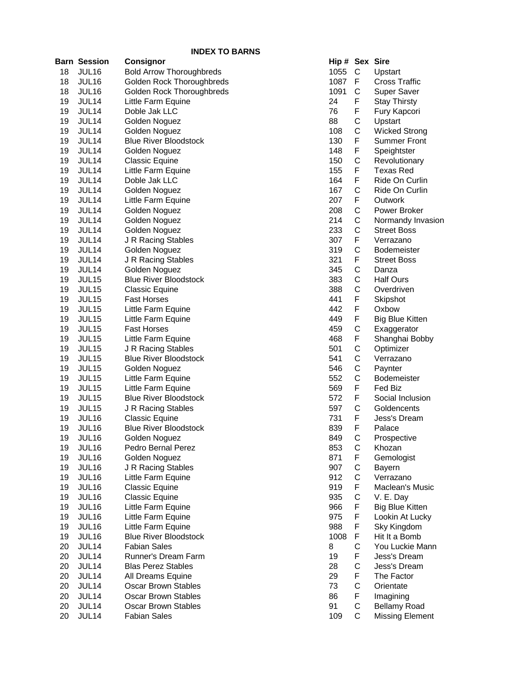|    | <b>Barn Session</b> | <b>Consignor</b>                | Hip # Sex Sire |             |                    |
|----|---------------------|---------------------------------|----------------|-------------|--------------------|
| 18 | <b>JUL16</b>        | <b>Bold Arrow Thoroughbreds</b> | 1055           | $\mathsf C$ | Ups <sup>-</sup>   |
| 18 | JUL16               | Golden Rock Thoroughbreds       | 1087           | F           | Cros               |
| 18 | JUL16               | Golden Rock Thoroughbreds       | 1091           | C           | <b>Sup</b>         |
| 19 | JUL14               | Little Farm Equine              | 24             | F           | Stay               |
| 19 | JUL14               | Doble Jak LLC                   | 76             | F           | Fury               |
| 19 | JUL14               | Golden Noguez                   | 88             | C           | Ups <sup>-</sup>   |
| 19 | JUL14               | Golden Noguez                   | 108            | C           | Wicl               |
| 19 | JUL14               | <b>Blue River Bloodstock</b>    | 130            | F           | Sum                |
| 19 | JUL14               | Golden Noguez                   | 148            | F           | Spei               |
| 19 | JUL14               | <b>Classic Equine</b>           | 150            | C           | Rev                |
| 19 | JUL14               | Little Farm Equine              | 155            | F           | Texa               |
| 19 | JUL14               | Doble Jak LLC                   | 164            | F           | Ride               |
| 19 | JUL14               | Golden Noguez                   | 167            | C           | Ride               |
| 19 | JUL14               | Little Farm Equine              | 207            | F           | Out                |
| 19 | JUL14               | Golden Noguez                   | 208            | C           | Pow                |
| 19 | JUL14               | Golden Noguez                   | 214            | C           | Norr               |
| 19 | JUL14               | Golden Noguez                   | 233            | C           | <b>Stre</b>        |
| 19 | JUL14               | J R Racing Stables              | 307            | F           | Verr               |
| 19 | JUL14               | Golden Noguez                   | 319            | $\mathsf C$ | <b>Bod</b>         |
| 19 | JUL14               | J R Racing Stables              | 321            | F           | <b>Stre</b>        |
| 19 | JUL14               | Golden Noguez                   | 345            | C           | Dan                |
| 19 | JUL15               | <b>Blue River Bloodstock</b>    | 383            | C           | Half               |
| 19 | JUL15               | <b>Classic Equine</b>           | 388            | C           | Ove                |
| 19 | JUL15               | <b>Fast Horses</b>              | 441            | F           | Skip               |
| 19 | JUL15               | Little Farm Equine              | 442            | F           | Oxb                |
| 19 | JUL15               | Little Farm Equine              | 449            | F           | Big                |
| 19 | JUL15               | <b>Fast Horses</b>              | 459            | C           | Exa                |
| 19 | JUL15               | Little Farm Equine              | 468            | F           | Sha                |
| 19 | JUL15               | J R Racing Stables              | 501            | C           | Opti               |
| 19 | JUL15               | <b>Blue River Bloodstock</b>    | 541            | C           | Verr               |
| 19 | JUL15               | Golden Noguez                   | 546            | C           | Payı               |
| 19 | JUL15               | Little Farm Equine              | 552            | C           | <b>Bod</b>         |
| 19 | <b>JUL15</b>        | Little Farm Equine              | 569            | F           | Fed                |
| 19 | JUL15               | <b>Blue River Bloodstock</b>    | 572            | F           | Soci               |
| 19 | JUL15               | J R Racing Stables              | 597            | $\mathsf C$ | Gold               |
| 19 | JUL16               | <b>Classic Equine</b>           | 731            | F           | Jess               |
| 19 | JUL16               | <b>Blue River Bloodstock</b>    | 839            | F           | Pala               |
| 19 | JUL16               | Golden Noguez                   | 849            | C           | Pros               |
| 19 | JUL16               | Pedro Bernal Perez              | 853            | C           | Kho:               |
| 19 | JUL16               | Golden Noguez                   | 871            | F           | Gen                |
| 19 | JUL16               | J R Racing Stables              | 907            | C           | <b>Bay</b>         |
| 19 | JUL16               | Little Farm Equine              | 912            | C           | Verr               |
| 19 | JUL16               | Classic Equine                  | 919            | F           | Mac                |
| 19 | JUL16               | Classic Equine                  | 935            | C           | V. E               |
| 19 | JUL16               | Little Farm Equine              | 966            | F           | Big                |
| 19 | JUL16               | Little Farm Equine              | 975            | F           | Lool               |
| 19 | JUL16               | Little Farm Equine              | 988            | F           | Sky                |
| 19 | JUL16               | <b>Blue River Bloodstock</b>    | 1008           | F           | Hit I <sup>t</sup> |
| 20 | JUL14               | <b>Fabian Sales</b>             | 8              | C           | You                |
| 20 | JUL14               | Runner's Dream Farm             | 19             | F           | Jess               |
| 20 | JUL14               | <b>Blas Perez Stables</b>       | 28             | C           | Jess               |
| 20 | JUL14               | All Dreams Equine               | 29             | F           | The                |
| 20 | JUL14               | <b>Oscar Brown Stables</b>      | 73             | C           | Orie               |
| 20 | JUL14               | <b>Oscar Brown Stables</b>      | 86             | F           | Ima                |
| 20 | JUL14               | <b>Oscar Brown Stables</b>      | 91             | C           | <b>Bella</b>       |
| 20 | JUL14               | <b>Fabian Sales</b>             | 109            | $\mathsf C$ | Miss               |

| Hip # | Sex              | Sire                   |
|-------|------------------|------------------------|
| 1055  | C                | Upstart                |
| 1087  | F                | Cross Traffic          |
| 1091  | C                | <b>Super Saver</b>     |
| 24    | F                | <b>Stay Thirsty</b>    |
| 76    |                  | Fury Kapcori           |
| 88    | FCCFFC           | Upstart                |
|       |                  |                        |
| 108   |                  | <b>Wicked Strong</b>   |
| 130   |                  | <b>Summer Front</b>    |
| 148   |                  | Speightster            |
| 150   |                  | Revolutionary          |
| 155   | F                | <b>Texas Red</b>       |
| 164   | F                | Ride On Curlin         |
| 167   | $\mathsf{C}$     | Ride On Curlin         |
| 207   | $\sum_{i=1}^{n}$ | Outwork                |
| 208   | <b>CCCFCF</b>    | Power Broker           |
| 214   |                  | Normandy Invasion      |
| 233   |                  | <b>Street Boss</b>     |
| 307   |                  | Verrazano              |
| 319   |                  | <b>Bodemeister</b>     |
| 321   |                  | <b>Street Boss</b>     |
| 345   |                  | Danza                  |
| 383   |                  | <b>Half Ours</b>       |
| 388   |                  | Overdriven             |
|       |                  |                        |
| 441   |                  | Skipshot               |
| 442   |                  | Oxbow                  |
| 449   |                  | <b>Big Blue Kitten</b> |
| 459   | CCCFFFCFCCCCFFCF | Exaggerator            |
| 468   |                  | Shanghai Bobby         |
| 501   |                  | Optimizer              |
| 541   |                  | Verrazano              |
| 546   |                  | Paynter                |
| 552   |                  | <b>Bodemeister</b>     |
| 569   |                  | Fed Biz                |
| 572   |                  | Social Inclusion       |
| 597   |                  | Goldencents            |
| 731   |                  | <b>Jess's Dream</b>    |
| 839   | F                | Palace                 |
| 849   | $\mathsf{C}$     | Prospective            |
| 853   |                  | Khozan                 |
| 871   |                  | Gemologist             |
| 907   |                  | Bayern                 |
| 912   | CFCCFCF          | Verrazano              |
| 919   |                  | Maclean's Music        |
| 935   |                  | V. E. Day              |
| 966   |                  | <b>Big Blue Kitten</b> |
| 975   |                  | Lookin At Lucky        |
| 988   |                  | Sky Kingdom            |
| 1008  |                  | Hit It a Bomb          |
|       |                  | You Luckie Mann        |
| 8     |                  |                        |
| 19    |                  | Jess's Dream           |
| 28    |                  | Jess's Dream           |
| 29    |                  | The Factor             |
| 73    |                  | Orientate              |
| 86    |                  | Imagining              |
| 91    | FFFCFCFCFCC      | <b>Bellamy Road</b>    |
| 109   |                  | <b>Missing Element</b> |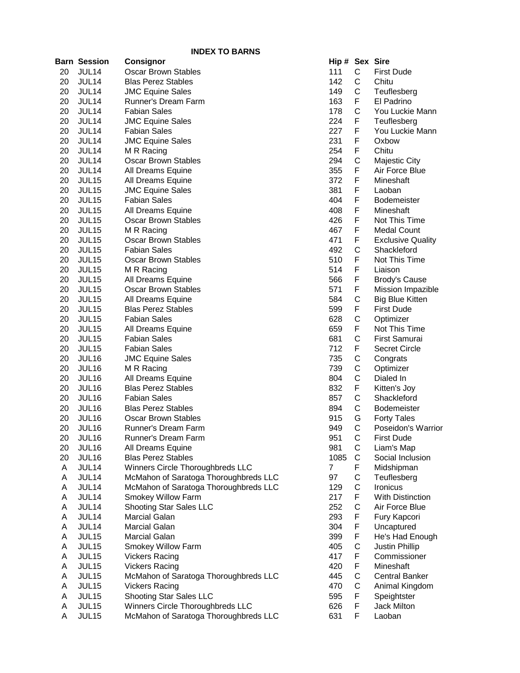|    | <b>Barn Session</b> | <b>Consignor</b>                      | Hip # Sex Sire |             |                          |
|----|---------------------|---------------------------------------|----------------|-------------|--------------------------|
| 20 | JUL14               | <b>Oscar Brown Stables</b>            | 111            | $\mathsf C$ | <b>First Dude</b>        |
| 20 | JUL14               | <b>Blas Perez Stables</b>             | 142            | C           | Chitu                    |
| 20 | JUL14               | 149<br>C<br><b>JMC Equine Sales</b>   |                |             | Teuflesberg              |
| 20 | JUL14               | Runner's Dream Farm                   | 163            | F           | El Padrino               |
| 20 | JUL14               | <b>Fabian Sales</b>                   | 178            | С           | You Luckie Mann          |
| 20 | JUL14               | <b>JMC Equine Sales</b>               | 224            | F           | Teuflesberg              |
| 20 | JUL14               | <b>Fabian Sales</b>                   | 227            | F           | You Luckie Mann          |
| 20 | JUL14               | <b>JMC Equine Sales</b>               | 231            | F           | Oxbow                    |
| 20 | JUL14               | M R Racing                            | 254            | F           | Chitu                    |
| 20 | JUL14               | <b>Oscar Brown Stables</b>            | 294            | C           | Majestic City            |
| 20 | JUL14               | All Dreams Equine                     | 355            | F           | Air Force Blue           |
| 20 | JUL15               | All Dreams Equine                     | 372            | F           | Mineshaft                |
| 20 | JUL15               | <b>JMC Equine Sales</b>               | 381            | F           | Laoban                   |
| 20 | JUL15               | <b>Fabian Sales</b>                   | 404            | F           | Bodemeister              |
| 20 | JUL15               | All Dreams Equine                     | 408            | F           | Mineshaft                |
| 20 | JUL15               | <b>Oscar Brown Stables</b>            | 426            | F           | Not This Time            |
| 20 | JUL15               | M R Racing                            | 467            | F           | <b>Medal Count</b>       |
| 20 | JUL15               | Oscar Brown Stables                   | 471            | F           | <b>Exclusive Quality</b> |
| 20 | JUL15               | <b>Fabian Sales</b>                   | 492            | C           | Shackleford              |
| 20 | JUL15               | <b>Oscar Brown Stables</b>            | 510            | F           | Not This Time            |
| 20 | JUL15               | M R Racing                            | 514            | F           | Liaison                  |
| 20 | JUL15               | All Dreams Equine                     | 566            | F           | <b>Brody's Cause</b>     |
| 20 | JUL <sub>15</sub>   | Oscar Brown Stables                   | 571            | F           | Mission Impazible        |
| 20 | JUL <sub>15</sub>   | All Dreams Equine                     | 584            | C           | <b>Big Blue Kitten</b>   |
| 20 | JUL <sub>15</sub>   | <b>Blas Perez Stables</b>             | 599            | F           | <b>First Dude</b>        |
| 20 | JUL <sub>15</sub>   | <b>Fabian Sales</b>                   | 628            | С           | Optimizer                |
| 20 | JUL15               | All Dreams Equine                     | 659            | F           | Not This Time            |
| 20 | JUL15               | <b>Fabian Sales</b>                   | 681            | C           | First Samurai            |
| 20 | JUL15               | <b>Fabian Sales</b>                   | 712            | F           | <b>Secret Circle</b>     |
| 20 | JUL16               | <b>JMC Equine Sales</b>               | 735            | С           | Congrats                 |
| 20 | JUL16               | M R Racing                            | 739            | C           | Optimizer                |
| 20 | JUL16               | All Dreams Equine                     | 804            | $\mathsf C$ | Dialed In                |
| 20 | JUL16               | <b>Blas Perez Stables</b>             | 832            | F           | Kitten's Joy             |
| 20 | JUL16               | <b>Fabian Sales</b>                   | 857            | $\mathsf C$ | Shackleford              |
| 20 | JUL16               | <b>Blas Perez Stables</b>             | 894            | C           | Bodemeister              |
| 20 | JUL16               | <b>Oscar Brown Stables</b>            | 915            | G           | <b>Forty Tales</b>       |
| 20 | JUL16               | Runner's Dream Farm                   | 949            | $\mathsf C$ | Poseidon's Warrior       |
| 20 | JUL16               | Runner's Dream Farm                   | 951            | C           | First Dude               |
| 20 | JUL16               | All Dreams Equine                     | 981            | C           | Liam's Map               |
| 20 | JUL16               | <b>Blas Perez Stables</b>             | 1085           | C           | Social Inclusion         |
| A  | JUL14               | Winners Circle Thoroughbreds LLC      | 7              | F           | Midshipman               |
| A  | JUL14               | McMahon of Saratoga Thoroughbreds LLC | 97             | C           | Teuflesberg              |
| Α  | JUL14               | McMahon of Saratoga Thoroughbreds LLC | 129            | С           | Ironicus                 |
| Α  | JUL14               | Smokey Willow Farm                    | 217            | F           | <b>With Distinction</b>  |
| Α  | JUL14               | Shooting Star Sales LLC               | 252            | C           | Air Force Blue           |
| Α  | JUL14               | Marcial Galan                         | 293            | F           | Fury Kapcori             |
| Α  | JUL14               | Marcial Galan                         | 304            | F           | Uncaptured               |
| Α  | JUL15               | Marcial Galan                         | 399            | F           | He's Had Enough          |
| Α  | JUL15               | Smokey Willow Farm                    | 405            | С           | <b>Justin Phillip</b>    |
| Α  | JUL15               | <b>Vickers Racing</b>                 | 417            | F           | Commissioner             |
| Α  | JUL15               | <b>Vickers Racing</b>                 | 420            | F           | Mineshaft                |
| Α  | JUL15               | McMahon of Saratoga Thoroughbreds LLC | 445            | С           | <b>Central Banker</b>    |
| Α  | JUL15               | <b>Vickers Racing</b>                 | 470            | C           | Animal Kingdom           |
| Α  | JUL15               | Shooting Star Sales LLC               | 595            | F           | Speightster              |
| Α  | JUL15               | Winners Circle Thoroughbreds LLC      | 626            | F           | Jack Milton              |
| Α  | JUL15               | McMahon of Saratoga Thoroughbreds LLC | 631            | F           | Laoban                   |

| lip #         | Sex                        | Sire                     |
|---------------|----------------------------|--------------------------|
| 11            | С                          |                          |
|               |                            | <b>First Dude</b>        |
| 42            | C                          | Chitu                    |
| 49            | C                          | Teuflesberg              |
| 63            | $\sum_{i=1}^{n}$           | El Padrino               |
| 78            |                            | You Luckie Mann          |
| 24            | C<br>F                     | Teuflesberg              |
| 27            | .<br>F                     | You Luckie Mann          |
| 231           | .<br>F                     | Oxbow                    |
| 254           | .<br>F                     | Chitu                    |
| 294           |                            | <b>Majestic City</b>     |
| 355           | C<br>F                     |                          |
|               |                            | Air Force Blue           |
| 372           | $\overline{F}$             | Mineshaft                |
| 81            | F                          | Laoban                   |
| 104           | F                          | Bodemeister              |
| 108           | F                          | Mineshaft                |
| 126           | F                          | Not This Time            |
| 167           | F                          | <b>Medal Count</b>       |
| 171           | F                          | <b>Exclusive Quality</b> |
| 192           | C<br>F                     | Shackleford              |
| 510           |                            | Not This Time            |
| 514           | F                          | Liaison                  |
| 566           | F                          | <b>Brody's Cause</b>     |
| 571           | .<br>F                     | Mission Impazible        |
| 584           |                            | <b>Big Blue Kitten</b>   |
| 599           | C<br>F                     | <b>First Dude</b>        |
|               |                            |                          |
| 28ة           | C<br>F                     | Optimizer                |
| 59            |                            | Not This Time            |
| 381           | CFCCCFCCGC                 | First Samurai            |
| 12            |                            | Secret Circle            |
| 35            |                            | Congrats                 |
| 739           |                            | Optimizer                |
| 804           |                            | Dialed In                |
| 332           |                            | Kitten's Joy             |
| 357           |                            | Shackleford              |
| 394           |                            | Bodemeister              |
| <sup>15</sup> |                            | <b>Forty Tales</b>       |
| 49            |                            | Poseidon's Warrior       |
| 151           | $\mathsf{C}$               | First Dude               |
| 81            |                            | Liam's Map               |
| 085           |                            | Social Inclusion         |
| 7             |                            | Midshipman               |
| 97            |                            | Teuflesberg              |
| 29            |                            | Ironicus                 |
|               |                            |                          |
| 217           |                            | <b>With Distinction</b>  |
| 252           |                            | Air Force Blue           |
| 293           |                            | Fury Kapcori             |
| 304           |                            | Uncaptured               |
| 399           |                            | He's Had Enough          |
| 105           |                            | <b>Justin Phillip</b>    |
| I17           |                            | Commissioner             |
| 120           | <b>CCFCCFCFFFCFFCCFFFF</b> | Mineshaft                |
| 145           |                            | <b>Central Banker</b>    |
| <b>170</b>    |                            | Animal Kingdom           |
| 595           |                            | Speightster              |
| 626           |                            | <b>Jack Milton</b>       |
| <b>২</b> २१   |                            | l anhan                  |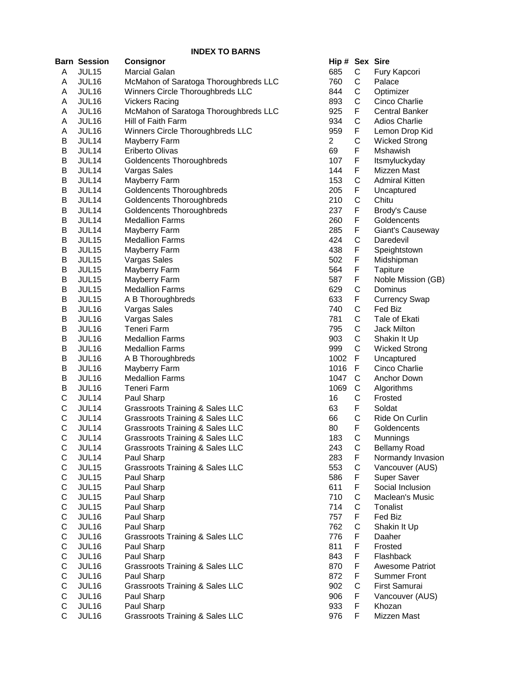|   | <b>Barn Session</b> | <b>Consignor</b>                                                           | Hip # Sex Sire |             |                       |
|---|---------------------|----------------------------------------------------------------------------|----------------|-------------|-----------------------|
| Α | JUL15               | Marcial Galan                                                              | 685            | С           | Fury Kapcori          |
| Α | JUL16               | McMahon of Saratoga Thoroughbreds LLC                                      | 760            | С           | Palace                |
| Α | JUL16               | C<br>Winners Circle Thoroughbreds LLC<br>844<br>Optimizer                  |                |             |                       |
| A | JUL16               | C<br>893<br><b>Vickers Racing</b>                                          |                |             | Cinco Charlie         |
| A | JUL16               | McMahon of Saratoga Thoroughbreds LLC<br>F<br>925<br><b>Central Banker</b> |                |             |                       |
| Α | JUL16               | C<br>934<br>Hill of Faith Farm<br><b>Adios Charlie</b>                     |                |             |                       |
| Α | JUL16               | Winners Circle Thoroughbreds LLC                                           | 959            | F           | Lemon Drop Kid        |
| B | JUL14               | Mayberry Farm                                                              | 2              | C           | <b>Wicked Strong</b>  |
| B | JUL14               | Eriberto Olivas                                                            | 69             | F           | <b>Mshawish</b>       |
| B | JUL14               | Goldencents Thoroughbreds                                                  | 107            | F           | Itsmyluckyday         |
| B | JUL14               | Vargas Sales                                                               | 144            | F           | Mizzen Mast           |
| B | JUL14               | Mayberry Farm                                                              | 153            | C           | <b>Admiral Kitten</b> |
| B | JUL14               | Goldencents Thoroughbreds                                                  | 205            | F           | Uncaptured            |
| B | JUL14               | Goldencents Thoroughbreds                                                  | 210            | $\mathsf C$ | Chitu                 |
| B | JUL14               | Goldencents Thoroughbreds                                                  | 237            | F           | <b>Brody's Cause</b>  |
| В | JUL14               | <b>Medallion Farms</b>                                                     | 260            | F           | Goldencents           |
| B | JUL14               | Mayberry Farm                                                              | 285            | F           | Giant's Causeway      |
| B | JUL15               | <b>Medallion Farms</b>                                                     | 424            | C           | Daredevil             |
| B | JUL15               | Mayberry Farm                                                              | 438            | F           | Speightstown          |
| в | JUL15               | Vargas Sales                                                               | 502            | F           | Midshipman            |
|   |                     |                                                                            |                | F           |                       |
| B | JUL15               | Mayberry Farm                                                              | 564            | F           | Tapiture              |
| B | JUL15               | Mayberry Farm                                                              | 587            |             | Noble Mission (GB)    |
| B | JUL15               | <b>Medallion Farms</b>                                                     | 629            | C           | Dominus               |
| B | JUL <sub>15</sub>   | A B Thoroughbreds                                                          | 633            | F           | <b>Currency Swap</b>  |
| B | JUL16               | Vargas Sales                                                               | 740            | C           | Fed Biz               |
| B | JUL16               | Vargas Sales                                                               | 781            | С           | Tale of Ekati         |
| B | JUL16               | <b>Teneri Farm</b>                                                         | 795            | C           | Jack Milton           |
| B | JUL16               | <b>Medallion Farms</b>                                                     | 903            | C           | Shakin It Up          |
| B | JUL16               | <b>Medallion Farms</b>                                                     | 999            | C           | <b>Wicked Strong</b>  |
| B | JUL16               | A B Thoroughbreds                                                          | 1002           | F           | Uncaptured            |
| B | JUL16               | Mayberry Farm                                                              | 1016           | F           | Cinco Charlie         |
| B | JUL16               | <b>Medallion Farms</b>                                                     | 1047           | C           | Anchor Down           |
| B | JUL16               | Teneri Farm                                                                | 1069           | C           | Algorithms            |
| С | JUL14               | Paul Sharp                                                                 | 16             | C           | Frosted               |
| С | JUL14               | <b>Grassroots Training &amp; Sales LLC</b>                                 | 63             | F           | Soldat                |
| С | JUL14               | <b>Grassroots Training &amp; Sales LLC</b>                                 | 66             | C           | Ride On Curlin        |
| C | JUL14               | <b>Grassroots Training &amp; Sales LLC</b>                                 | 80             | F           | Goldencents           |
| C | JUL <sub>14</sub>   | Grassroots Training & Sales LLC                                            | 183            | С           | Munnings              |
| С | JUL14               | <b>Grassroots Training &amp; Sales LLC</b>                                 | 243            | C           | <b>Bellamy Road</b>   |
| С | JUL14               | Paul Sharp                                                                 | 283            | F           | Normandy Invasion     |
| С | JUL15               | <b>Grassroots Training &amp; Sales LLC</b>                                 | 553            | C           | Vancouver (AUS)       |
| C | JUL15               | Paul Sharp                                                                 | 586            | F           | Super Saver           |
| С | JUL15               | Paul Sharp                                                                 | 611            | F           | Social Inclusion      |
| C | JUL15               | Paul Sharp                                                                 | 710            | С           | Maclean's Music       |
| C | JUL15               | Paul Sharp                                                                 | 714            | C           | Tonalist              |
| C | JUL16               | Paul Sharp                                                                 | 757            | F           | Fed Biz               |
| C | JUL16               | Paul Sharp                                                                 | 762            | C           | Shakin It Up          |
| C | JUL16               | Grassroots Training & Sales LLC                                            | 776            | F           | Daaher                |
| С | JUL16               | Paul Sharp                                                                 | 811            | F           | Frosted               |
| С | JUL16               | Paul Sharp                                                                 | 843            | F           | Flashback             |
| С | JUL16               | <b>Grassroots Training &amp; Sales LLC</b>                                 | 870            | F           | Awesome Patriot       |
| С | JUL16               | Paul Sharp                                                                 | 872            | F           | <b>Summer Front</b>   |
| С | JUL16               | Grassroots Training & Sales LLC                                            | 902            | С           | First Samurai         |
| С | JUL16               | Paul Sharp                                                                 | 906            | F           | Vancouver (AUS)       |
| С | JUL16               | Paul Sharp                                                                 | 933            | F           | Khozan                |
| C | JUL16               | Grassroots Training & Sales LLC                                            | 976            | F           | Mizzen Mast           |

| Hip#           | Sex              | Sire                   |
|----------------|------------------|------------------------|
| 685            | C                | Fury Kapcori           |
| 760            | C<br>C<br>C<br>F | Palace                 |
| 844            |                  | Optimizer              |
| 893            |                  | Cinco Charlie          |
| 925            |                  | <b>Central Banker</b>  |
| 934            | $\mathsf{C}$     | <b>Adios Charlie</b>   |
| 959            | F                | Lemon Drop Kid         |
| $\overline{c}$ | C                | <b>Wicked Strong</b>   |
| 69             | F                | Mshawish               |
| 107            | F                | Itsmyluckyday          |
| 144            | F                | Mizzen Mast            |
| 153            | C                | <b>Admiral Kitten</b>  |
| 205            | F                | Uncaptured             |
| 210            | C                | Chitu                  |
| 237            | F                | <b>Brody's Cause</b>   |
| 260            | F                | Goldencents            |
| 285            | F                | Giant's Causeway       |
| 424            | C                | Daredevil              |
| 438            | F                | Speightstown           |
| 502            | F                | Midshipman             |
| 564            | F                | <b>Tapiture</b>        |
| 587            | F                | Noble Mission (GB)     |
| 629            | C                | Dominus                |
| 633            |                  | <b>Currency Swap</b>   |
| 740            |                  | Fed Biz                |
| 781            |                  | Tale of Ekati          |
| 795            |                  | <b>Jack Milton</b>     |
| 903            | FCCCCCF          | Shakin It Up           |
| 999            |                  | <b>Wicked Strong</b>   |
| 1002           |                  | Uncaptured             |
| 1016           |                  | Cinco Charlie          |
| 1047           |                  | Anchor Down            |
| 1069           |                  | Algorithms             |
| 16             |                  | Frosted                |
| 63             | FCCCFC           | Soldat                 |
| 66             |                  | Ride On Curlin         |
| 80             | F                | Goldencents            |
| 183            | C                | Munnings               |
| 243            | C                | <b>Bellamy Road</b>    |
| 283            |                  | Normandy Invasion      |
| 553            | F<br>C<br>F      | Vancouver (AUS)        |
| 586            |                  | <b>Super Saver</b>     |
| 611            |                  | Social Inclusion       |
| 710            |                  | Maclean's Music        |
| 714            | FCCFCF           | Tonalist               |
| 757            |                  | Fed Biz                |
| 762            |                  | Shakin It Up           |
| 776            |                  | Daaher                 |
| 811            | F                | Frosted                |
| 843            | F                | Flashback              |
| 870            | F<br>F           | <b>Awesome Patriot</b> |
| 872            |                  | <b>Summer Front</b>    |
| 902            | $\mathsf{C}$     | First Samurai          |
| 906            | F                | Vancouver (AUS)        |
| 933            | F                | Khozan                 |
| 976            | F                | Mizzen Mast            |